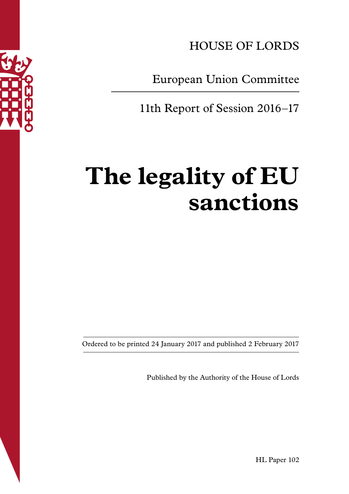

HOUSE OF LORDS

European Union Committee

11th Report of Session 2016–17

# **The legality of EU sanctions**

Ordered to be printed 24 January 2017 and published 2 February 2017

Published by the Authority of the House of Lords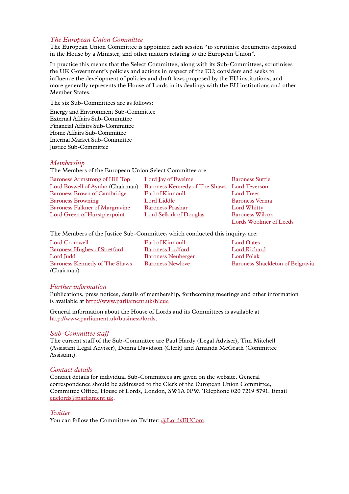# *The European Union Committee*

The European Union Committee is appointed each session "to scrutinise documents deposited in the House by a Minister, and other matters relating to the European Union".

In practice this means that the Select Committee, along with its Sub-Committees, scrutinises the UK Government's policies and actions in respect of the EU; considers and seeks to influence the development of policies and draft laws proposed by the EU institutions; and more generally represents the House of Lords in its dealings with the EU institutions and other Member States.

The six Sub-Committees are as follows:

Energy and Environment Sub-Committee External Affairs Sub-Committee Financial Affairs Sub-Committee Home Affairs Sub-Committee Internal Market Sub-Committee Justice Sub-Committee

#### *Membership*

The Members of the European Union Select Committee are:

| <b>Baroness Armstrong of Hill Top</b> | Lord Jay of Ewelme                   | <b>Baroness Suttie</b>        |
|---------------------------------------|--------------------------------------|-------------------------------|
| Lord Boswell of Aynho (Chairman)      | <b>Baroness Kennedy of The Shaws</b> | Lord Teverson                 |
| <b>Baroness Brown of Cambridge</b>    | Earl of Kinnoull                     | <b>Lord Trees</b>             |
| <b>Baroness Browning</b>              | Lord Liddle                          | <b>Baroness Verma</b>         |
| <b>Baroness Falkner of Margravine</b> | <b>Baroness Prashar</b>              | <b>Lord Whitty</b>            |
| <b>Lord Green of Hurstpierpoint</b>   | <b>Lord Selkirk of Douglas</b>       | <b>Baroness Wilcox</b>        |
|                                       |                                      | <b>Lords Woolmer of Leeds</b> |

The Members of the Justice Sub-Committee, which conducted this inquiry, are:

[Lord Cromwell](http://www.parliament.uk/biographies/lords/lord-cromwell/2594) [Earl of Kinnoull](http://www.parliament.uk/biographies/lords/earl-of-kinnoull/4354) [Lord Oates](http://www.parliament.uk/biographies/lords/lord-oates/4549) [Baroness Hughes of Stretford](http://www.parliament.uk/biographies/lords/baroness-hughes-of-stretford/459) [Baroness Ludford](http://www.parliament.uk/biographies/lords/baroness-ludford/1867) [Lord Richard](http://www.parliament.uk/biographies/lords/lord-richard/1688) [Lord Judd](http://www.parliament.uk/biographies/lords/lord-judd/1660) [Baroness Neuberger](http://www.parliament.uk/biographies/lords/baroness-neuberger/3690) [Lord Polak](http://www.parliament.uk/biographies/lords/lord-polak/4547) [Baroness Kennedy of The Shaws](http://www.parliament.uk/biographies/lords/baroness-kennedy-of-the-shaws/1987) (Chairman)

[Baroness Newlove](http://www.parliament.uk/biographies/lords/baroness-newlove/4177) [Baroness Shackleton of Belgravia](http://www.parliament.uk/biographies/lords/baroness-shackleton-of-belgravia/4198)

#### *Further information*

Publications, press notices, details of membership, forthcoming meetings and other information is available at [http://www.parliament.uk/hleue](http://www.parliament.uk/business/committees/committees-a-z/lords-select/eu-justice-subcommittee/)

General information about the House of Lords and its Committees is available at [http://www.parliament.uk/business/lords](http://www.parliament.uk/business/lords/).

#### *Sub-Committee staff*

The current staff of the Sub-Committee are Paul Hardy (Legal Adviser), Tim Mitchell (Assistant Legal Adviser), Donna Davidson (Clerk) and Amanda McGrath (Committee Assistant).

#### *Contact details*

Contact details for individual Sub-Committees are given on the website. General correspondence should be addressed to the Clerk of the European Union Committee, Committee Office, House of Lords, London, SW1A 0PW. Telephone 020 7219 5791. Email [euclords@parliament.uk](mailto:euclords@parliament.uk).

#### *Twitter*

You can follow the Committee on Twitter: [@LordsEUCom](http://www.twitter.com/lordseucom).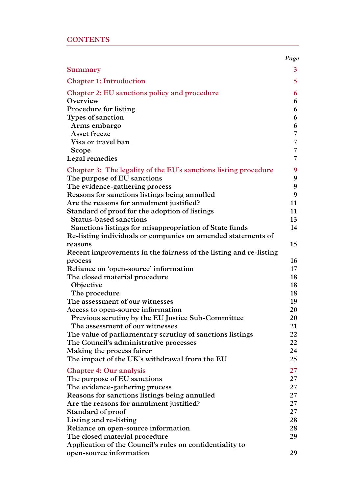|                                                                                                                        | Page           |
|------------------------------------------------------------------------------------------------------------------------|----------------|
| Summary                                                                                                                | 3              |
| <b>Chapter 1: Introduction</b>                                                                                         | 5 <sup>5</sup> |
| Chapter 2: EU sanctions policy and procedure                                                                           | 6              |
| Overview                                                                                                               | 6              |
| Procedure for listing                                                                                                  | 6              |
| Types of sanction                                                                                                      | 6              |
| Arms embargo                                                                                                           | 6              |
| Asset freeze                                                                                                           | 7              |
| Visa or travel ban                                                                                                     | 7              |
| Scope                                                                                                                  | 7              |
| Legal remedies                                                                                                         | 7              |
| Chapter 3: The legality of the EU's sanctions listing procedure                                                        | 9              |
| The purpose of EU sanctions                                                                                            | 9              |
| The evidence-gathering process                                                                                         | 9              |
| Reasons for sanctions listings being annulled                                                                          | 9              |
| Are the reasons for annulment justified?                                                                               | 11             |
| Standard of proof for the adoption of listings                                                                         | 11             |
| <b>Status-based sanctions</b>                                                                                          | 13             |
| Sanctions listings for misappropriation of State funds<br>Re-listing individuals or companies on amended statements of | 14             |
| reasons                                                                                                                | 15             |
| Recent improvements in the fairness of the listing and re-listing                                                      |                |
| process                                                                                                                | 16             |
| Reliance on 'open-source' information                                                                                  | $17 \,$        |
| The closed material procedure                                                                                          | 18             |
| Objective                                                                                                              | 18             |
| The procedure                                                                                                          | 18             |
| The assessment of our witnesses                                                                                        | 19             |
| Access to open-source information                                                                                      | 20             |
| Previous scrutiny by the EU Justice Sub-Committee                                                                      | 20             |
| The assessment of our witnesses                                                                                        | 21             |
| The value of parliamentary scrutiny of sanctions listings                                                              | 22             |
| The Council's administrative processes                                                                                 | 22             |
| Making the process fairer                                                                                              | 24             |
| The impact of the UK's withdrawal from the EU                                                                          | 25             |
| <b>Chapter 4: Our analysis</b>                                                                                         | $27\,$         |
| The purpose of EU sanctions                                                                                            | 27             |
| The evidence-gathering process                                                                                         | 27             |
| Reasons for sanctions listings being annulled                                                                          | 27             |
| Are the reasons for annulment justified?                                                                               | 27             |
| Standard of proof                                                                                                      | 27             |
| Listing and re-listing                                                                                                 | 28             |
| Reliance on open-source information                                                                                    | 28<br>29       |
| The closed material procedure<br>Application of the Council's rules on confidentiality to                              |                |
| open-source information                                                                                                | 29             |
|                                                                                                                        |                |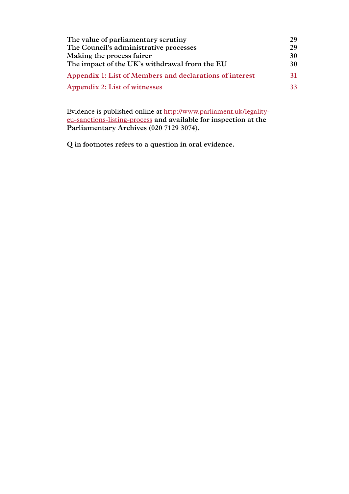| The value of parliamentary scrutiny                      | 29 |
|----------------------------------------------------------|----|
| The Council's administrative processes                   | 29 |
| Making the process fairer                                | 30 |
| The impact of the UK's withdrawal from the EU            | 30 |
| Appendix 1: List of Members and declarations of interest | 31 |
| Appendix 2: List of witnesses                            | 33 |

Evidence is published online at [http://www.parliament.uk/legality](http://www.parliament.uk/business/committees/committees-a-z/lords-select/eu-justice-subcommittee/scrutiny-work/parliament-2015/legality-of-eu-sanctions-listing-process/)[eu-sanctions-listing-process](http://www.parliament.uk/business/committees/committees-a-z/lords-select/eu-justice-subcommittee/scrutiny-work/parliament-2015/legality-of-eu-sanctions-listing-process/) **and available for inspection at the Parliamentary Archives (020 7129 3074).**

**Q in footnotes refers to a question in oral evidence.**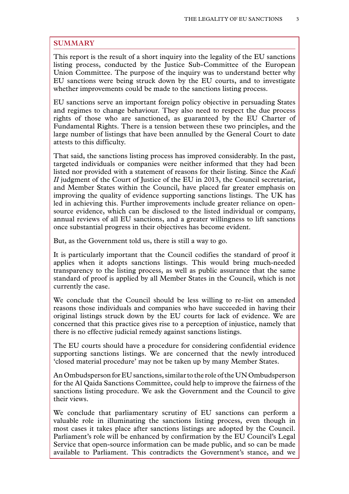# <span id="page-4-0"></span>**SUMMARY**

This report is the result of a short inquiry into the legality of the EU sanctions listing process, conducted by the Justice Sub-Committee of the European Union Committee. The purpose of the inquiry was to understand better why EU sanctions were being struck down by the EU courts, and to investigate whether improvements could be made to the sanctions listing process.

EU sanctions serve an important foreign policy objective in persuading States and regimes to change behaviour. They also need to respect the due process rights of those who are sanctioned, as guaranteed by the EU Charter of Fundamental Rights. There is a tension between these two principles, and the large number of listings that have been annulled by the General Court to date attests to this difficulty.

That said, the sanctions listing process has improved considerably. In the past, targeted individuals or companies were neither informed that they had been listed nor provided with a statement of reasons for their listing. Since the *Kadi II* judgment of the Court of Justice of the EU in 2013, the Council secretariat, and Member States within the Council, have placed far greater emphasis on improving the quality of evidence supporting sanctions listings. The UK has led in achieving this. Further improvements include greater reliance on opensource evidence, which can be disclosed to the listed individual or company, annual reviews of all EU sanctions, and a greater willingness to lift sanctions once substantial progress in their objectives has become evident.

But, as the Government told us, there is still a way to go.

It is particularly important that the Council codifies the standard of proof it applies when it adopts sanctions listings. This would bring much-needed transparency to the listing process, as well as public assurance that the same standard of proof is applied by all Member States in the Council, which is not currently the case.

We conclude that the Council should be less willing to re-list on amended reasons those individuals and companies who have succeeded in having their original listings struck down by the EU courts for lack of evidence. We are concerned that this practice gives rise to a perception of injustice, namely that there is no effective judicial remedy against sanctions listings.

The EU courts should have a procedure for considering confidential evidence supporting sanctions listings. We are concerned that the newly introduced 'closed material procedure' may not be taken up by many Member States.

An Ombudsperson for EU sanctions, similar to the role of the UN Ombudsperson for the Al Qaida Sanctions Committee, could help to improve the fairness of the sanctions listing procedure. We ask the Government and the Council to give their views.

We conclude that parliamentary scrutiny of EU sanctions can perform a valuable role in illuminating the sanctions listing process, even though in most cases it takes place after sanctions listings are adopted by the Council. Parliament's role will be enhanced by confirmation by the EU Council's Legal Service that open-source information can be made public, and so can be made available to Parliament. This contradicts the Government's stance, and we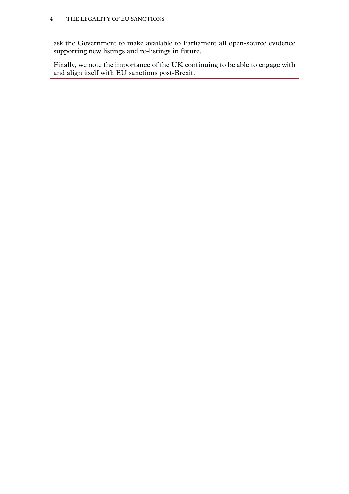ask the Government to make available to Parliament all open-source evidence supporting new listings and re-listings in future.

Finally, we note the importance of the UK continuing to be able to engage with and align itself with EU sanctions post-Brexit.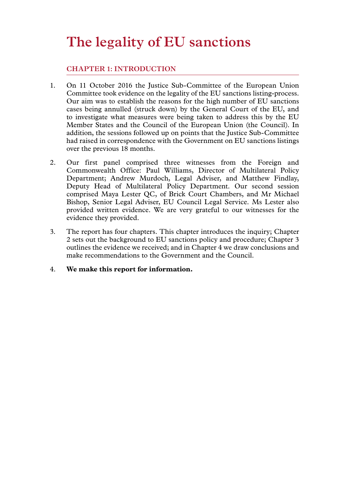# <span id="page-6-0"></span>**The legality of EU sanctions**

# **Chapter 1: INTRODUCTION**

- 1. On 11 October 2016 the Justice Sub-Committee of the European Union Committee took evidence on the legality of the EU sanctions listing-process. Our aim was to establish the reasons for the high number of EU sanctions cases being annulled (struck down) by the General Court of the EU, and to investigate what measures were being taken to address this by the EU Member States and the Council of the European Union (the Council). In addition, the sessions followed up on points that the Justice Sub-Committee had raised in correspondence with the Government on EU sanctions listings over the previous 18 months.
- 2. Our first panel comprised three witnesses from the Foreign and Commonwealth Office: Paul Williams, Director of Multilateral Policy Department; Andrew Murdoch, Legal Adviser, and Matthew Findlay, Deputy Head of Multilateral Policy Department. Our second session comprised Maya Lester QC, of Brick Court Chambers, and Mr Michael Bishop, Senior Legal Adviser, EU Council Legal Service. Ms Lester also provided written evidence. We are very grateful to our witnesses for the evidence they provided.
- 3. The report has four chapters. This chapter introduces the inquiry; Chapter 2 sets out the background to EU sanctions policy and procedure; Chapter 3 outlines the evidence we received; and in Chapter 4 we draw conclusions and make recommendations to the Government and the Council.
- 4. **We make this report for information.**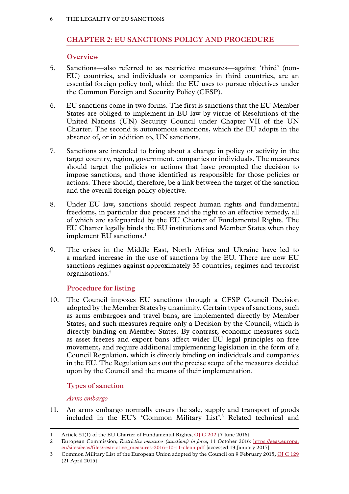# <span id="page-7-0"></span>**Chapter 2: EU SANCTIONS POLICY AND PROCEDURE**

# **Overview**

- 5. Sanctions—also referred to as restrictive measures—against 'third' (non-EU) countries, and individuals or companies in third countries, are an essential foreign policy tool, which the EU uses to pursue objectives under the Common Foreign and Security Policy (CFSP).
- 6. EU sanctions come in two forms. The first is sanctions that the EU Member States are obliged to implement in EU law by virtue of Resolutions of the United Nations (UN) Security Council under Chapter VII of the UN Charter. The second is autonomous sanctions, which the EU adopts in the absence of, or in addition to, UN sanctions.
- 7. Sanctions are intended to bring about a change in policy or activity in the target country, region, government, companies or individuals. The measures should target the policies or actions that have prompted the decision to impose sanctions, and those identified as responsible for those policies or actions. There should, therefore, be a link between the target of the sanction and the overall foreign policy objective.
- 8. Under EU law, sanctions should respect human rights and fundamental freedoms, in particular due process and the right to an effective remedy, all of which are safeguarded by the EU Charter of Fundamental Rights. The EU Charter legally binds the EU institutions and Member States when they implement EU sanctions.<sup>1</sup>
- 9. The crises in the Middle East, North Africa and Ukraine have led to a marked increase in the use of sanctions by the EU. There are now EU sanctions regimes against approximately 35 countries, regimes and terrorist organisations.2

# **Procedure for listing**

10. The Council imposes EU sanctions through a CFSP Council Decision adopted by the Member States by unanimity. Certain types of sanctions, such as arms embargoes and travel bans, are implemented directly by Member States, and such measures require only a Decision by the Council, which is directly binding on Member States. By contrast, economic measures such as asset freezes and export bans affect wider EU legal principles on free movement, and require additional implementing legislation in the form of a Council Regulation, which is directly binding on individuals and companies in the EU. The Regulation sets out the precise scope of the measures decided upon by the Council and the means of their implementation.

# **Types of sanction**

# *Arms embargo*

11. An arms embargo normally covers the sale, supply and transport of goods included in the EU's 'Common Military List'.3 Related technical and

<sup>1</sup> Article 51(1) of the EU Charter of Fundamental Rights, [OJ C 202](http://eur-lex.europa.eu/legal-content/EN/TXT/HTML/?uri=CELEX:12016P/TXT&from=EN) (7 June 2016)

<sup>2</sup> European Commission, *Restrictive measures (sanctions) in force*, 11 October 2016: [https://eeas.europa.](https://eeas.europa.eu/sites/eeas/files/restrictive_measures-2016-10-11-clean.pdf) [eu/sites/eeas/files/restrictive\\_measures-2016–10-11-clean.pdf](https://eeas.europa.eu/sites/eeas/files/restrictive_measures-2016-10-11-clean.pdf) [accessed 13 January 2017]

<sup>3</sup> Common Military List of the European Union adopted by the Council on 9 February 2015, [OJ C 129](http://eur-lex.europa.eu/legal-content/EN/TXT/HTML/?uri=CELEX:52015XG0421(05)&from=EN) (21 April 2015)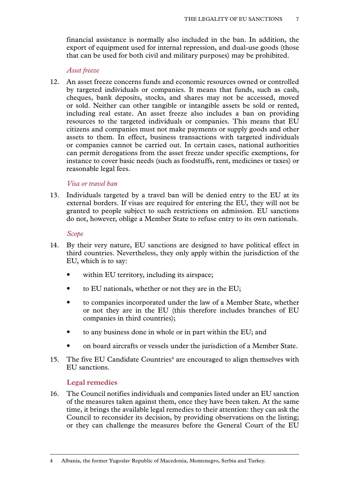<span id="page-8-0"></span>financial assistance is normally also included in the ban. In addition, the export of equipment used for internal repression, and dual-use goods (those that can be used for both civil and military purposes) may be prohibited.

#### *Asset freeze*

12. An asset freeze concerns funds and economic resources owned or controlled by targeted individuals or companies. It means that funds, such as cash, cheques, bank deposits, stocks, and shares may not be accessed, moved or sold. Neither can other tangible or intangible assets be sold or rented, including real estate. An asset freeze also includes a ban on providing resources to the targeted individuals or companies. This means that EU citizens and companies must not make payments or supply goods and other assets to them. In effect, business transactions with targeted individuals or companies cannot be carried out. In certain cases, national authorities can permit derogations from the asset freeze under specific exemptions, for instance to cover basic needs (such as foodstuffs, rent, medicines or taxes) or reasonable legal fees.

#### *Visa or travel ban*

13. Individuals targeted by a travel ban will be denied entry to the EU at its external borders. If visas are required for entering the EU, they will not be granted to people subject to such restrictions on admission. EU sanctions do not, however, oblige a Member State to refuse entry to its own nationals.

#### *Scope*

- 14. By their very nature, EU sanctions are designed to have political effect in third countries. Nevertheless, they only apply within the jurisdiction of the EU, which is to say:
	- within EU territory, including its airspace;
	- to EU nationals, whether or not they are in the EU;
	- to companies incorporated under the law of a Member State, whether or not they are in the EU (this therefore includes branches of EU companies in third countries);
	- to any business done in whole or in part within the EU; and
	- on board aircrafts or vessels under the jurisdiction of a Member State.
- 15. The five EU Candidate Countries<sup>4</sup> are encouraged to align themselves with EU sanctions.

# **Legal remedies**

16. The Council notifies individuals and companies listed under an EU sanction of the measures taken against them, once they have been taken. At the same time, it brings the available legal remedies to their attention: they can ask the Council to reconsider its decision, by providing observations on the listing; or they can challenge the measures before the General Court of the EU

<sup>4</sup> Albania, the former Yugoslav Republic of Macedonia, Montenegro, Serbia and Turkey.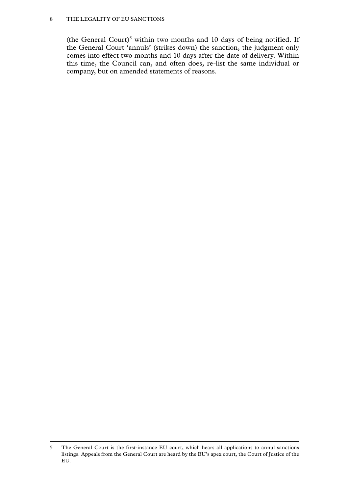#### 8 The legality of EU sanctions

(the General Court)<sup>5</sup> within two months and 10 days of being notified. If the General Court 'annuls' (strikes down) the sanction, the judgment only comes into effect two months and 10 days after the date of delivery. Within this time, the Council can, and often does, re-list the same individual or company, but on amended statements of reasons.

<sup>5</sup> The General Court is the first-instance EU court, which hears all applications to annul sanctions listings. Appeals from the General Court are heard by the EU's apex court, the Court of Justice of the EU.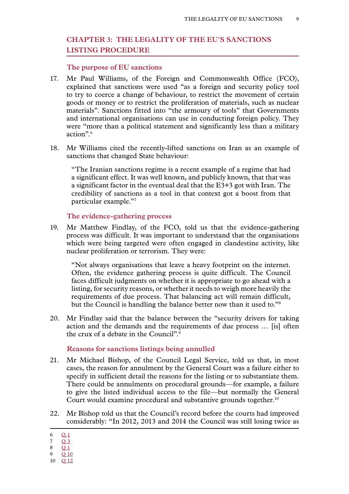# <span id="page-10-0"></span>**Chapter 3: THE LEGALITY OF THE EU'S SANCTIONS LISTING PROCEDURE**

#### **The purpose of EU sanctions**

- 17. Mr Paul Williams, of the Foreign and Commonwealth Office (FCO), explained that sanctions were used "as a foreign and security policy tool to try to coerce a change of behaviour, to restrict the movement of certain goods or money or to restrict the proliferation of materials, such as nuclear materials". Sanctions fitted into "the armoury of tools" that Governments and international organisations can use in conducting foreign policy. They were "more than a political statement and significantly less than a military action".6
- 18. Mr Williams cited the recently-lifted sanctions on Iran as an example of sanctions that changed State behaviour:

"The Iranian sanctions regime is a recent example of a regime that had a significant effect. It was well known, and publicly known, that that was a significant factor in the eventual deal that the E3+3 got with Iran. The credibility of sanctions as a tool in that context got a boost from that particular example."7

# **The evidence-gathering process**

19. Mr Matthew Findlay, of the FCO, told us that the evidence-gathering process was difficult. It was important to understand that the organisations which were being targeted were often engaged in clandestine activity, like nuclear proliferation or terrorism. They were:

"Not always organisations that leave a heavy footprint on the internet. Often, the evidence gathering process is quite difficult. The Council faces difficult judgments on whether it is appropriate to go ahead with a listing, for security reasons, or whether it needs to weigh more heavily the requirements of due process. That balancing act will remain difficult, but the Council is handling the balance better now than it used to."8

20. Mr Findlay said that the balance between the "security drivers for taking action and the demands and the requirements of due process … [is] often the crux of a debate in the Council".9

#### **Reasons for sanctions listings being annulled**

- 21. Mr Michael Bishop, of the Council Legal Service, told us that, in most cases, the reason for annulment by the General Court was a failure either to specify in sufficient detail the reasons for the listing or to substantiate them. There could be annulments on procedural grounds—for example, a failure to give the listed individual access to the file—but normally the General Court would examine procedural and substantive grounds together.<sup>10</sup>
- 22. Mr Bishop told us that the Council's record before the courts had improved considerably: "In 2012, 2013 and 2014 the Council was still losing twice as

<sup>6</sup> [Q](http://data.parliament.uk/writtenevidence/committeeevidence.svc/evidencedocument/eu-justice-subcommittee/eu-sanctions/oral/41152.html) 1

<sup>7</sup> [Q](http://data.parliament.uk/writtenevidence/committeeevidence.svc/evidencedocument/eu-justice-subcommittee/eu-sanctions/oral/41152.html) 3

<sup>8</sup> O 1

<sup>9</sup> Q [10](http://data.parliament.uk/writtenevidence/committeeevidence.svc/evidencedocument/eu-justice-subcommittee/eu-sanctions/oral/41152.html) 10 Q [12](http://data.parliament.uk/writtenevidence/committeeevidence.svc/evidencedocument/eu-justice-subcommittee/eu-sanctions/oral/41152.html)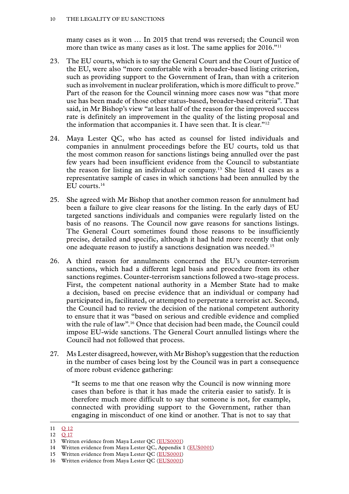many cases as it won … In 2015 that trend was reversed; the Council won more than twice as many cases as it lost. The same applies for 2016."<sup>11</sup>

- 23. The EU courts, which is to say the General Court and the Court of Justice of the EU, were also "more comfortable with a broader-based listing criterion, such as providing support to the Government of Iran, than with a criterion such as involvement in nuclear proliferation, which is more difficult to prove." Part of the reason for the Council winning more cases now was "that more use has been made of those other status-based, broader-based criteria". That said, in Mr Bishop's view "at least half of the reason for the improved success rate is definitely an improvement in the quality of the listing proposal and the information that accompanies it. I have seen that. It is clear."12
- 24. Maya Lester QC, who has acted as counsel for listed individuals and companies in annulment proceedings before the EU courts, told us that the most common reason for sanctions listings being annulled over the past few years had been insufficient evidence from the Council to substantiate the reason for listing an individual or company.13 She listed 41 cases as a representative sample of cases in which sanctions had been annulled by the EU courts.14
- 25. She agreed with Mr Bishop that another common reason for annulment had been a failure to give clear reasons for the listing. In the early days of EU targeted sanctions individuals and companies were regularly listed on the basis of no reasons. The Council now gave reasons for sanctions listings. The General Court sometimes found those reasons to be insufficiently precise, detailed and specific, although it had held more recently that only one adequate reason to justify a sanctions designation was needed.15
- 26. A third reason for annulments concerned the EU's counter-terrorism sanctions, which had a different legal basis and procedure from its other sanctions regimes. Counter-terrorism sanctions followed a two-stage process. First, the competent national authority in a Member State had to make a decision, based on precise evidence that an individual or company had participated in, facilitated, or attempted to perpetrate a terrorist act. Second, the Council had to review the decision of the national competent authority to ensure that it was "based on serious and credible evidence and complied with the rule of law".<sup>16</sup> Once that decision had been made, the Council could impose EU-wide sanctions. The General Court annulled listings where the Council had not followed that process.
- 27. Ms Lester disagreed, however, with Mr Bishop's suggestion that the reduction in the number of cases being lost by the Council was in part a consequence of more robust evidence gathering:

"It seems to me that one reason why the Council is now winning more cases than before is that it has made the criteria easier to satisfy. It is therefore much more difficult to say that someone is not, for example, connected with providing support to the Government, rather than engaging in misconduct of one kind or another. That is not to say that

<sup>11</sup> Q [12](http://data.parliament.uk/writtenevidence/committeeevidence.svc/evidencedocument/eu-justice-subcommittee/eu-sanctions/oral/41152.html)

<sup>12</sup> Q [17](http://data.parliament.uk/writtenevidence/committeeevidence.svc/evidencedocument/eu-justice-subcommittee/eu-sanctions/oral/41152.html)

<sup>13</sup> Written evidence from Maya Lester QC ([EUS0001\)](http://data.parliament.uk/writtenevidence/committeeevidence.svc/evidencedocument/eu-justice-subcommittee/eu-sanctions/written/41026.html)

<sup>14</sup> Written evidence from Maya Lester QC, Appendix 1 ([EUS0001\)](http://data.parliament.uk/writtenevidence/committeeevidence.svc/evidencedocument/eu-justice-subcommittee/eu-sanctions/written/41026.html)

<sup>15</sup> Written evidence from Maya Lester QC ([EUS0001\)](http://data.parliament.uk/writtenevidence/committeeevidence.svc/evidencedocument/eu-justice-subcommittee/eu-sanctions/written/41026.html)

<sup>16</sup> Written evidence from Maya Lester QC ([EUS0001\)](http://data.parliament.uk/writtenevidence/committeeevidence.svc/evidencedocument/eu-justice-subcommittee/eu-sanctions/written/41026.html)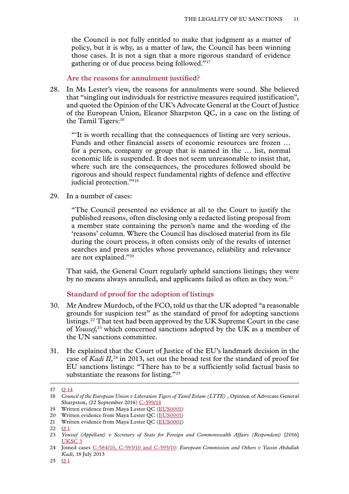<span id="page-12-0"></span>the Council is not fully entitled to make that judgment as a matter of policy, but it is why, as a matter of law, the Council has been winning those cases. It is not a sign that a more rigorous standard of evidence gathering or of due process being followed."17

**Are the reasons for annulment justified?**

28. In Ms Lester's view, the reasons for annulments were sound. She believed that "singling out individuals for restrictive measures required justification", and quoted the Opinion of the UK's Advocate General at the Court of Justice of the European Union, Eleanor Sharpston QC, in a case on the listing of the Tamil Tigers:18

"'It is worth recalling that the consequences of listing are very serious. Funds and other financial assets of economic resources are frozen … for a person, company or group that is named in the … list, normal economic life is suspended. It does not seem unreasonable to insist that, where such are the consequences, the procedures followed should be rigorous and should respect fundamental rights of defence and effective judicial protection."<sup>19</sup>

29. In a number of cases:

"The Council presented no evidence at all to the Court to justify the published reasons, often disclosing only a redacted listing proposal from a member state containing the person's name and the wording of the 'reasons' column. Where the Council has disclosed material from its file during the court process, it often consists only of the results of internet searches and press articles whose provenance, reliability and relevance are not explained."20

That said, the General Court regularly upheld sanctions listings; they were by no means always annulled, and applicants failed as often as they won.<sup>21</sup>

**Standard of proof for the adoption of listings**

- 30. Mr Andrew Murdoch, of the FCO, told us that the UK adopted "a reasonable grounds for suspicion test" as the standard of proof for adopting sanctions listings.22 That test had been approved by the UK Supreme Court in the case of *Youssef*, 23 which concerned sanctions adopted by the UK as a member of the UN sanctions committee.
- 31. He explained that the Court of Justice of the EU's landmark decision in the case of *Kadi II,*<sup>24</sup> in 2013, set out the broad test for the standard of proof for EU sanctions listings: "There has to be a sufficiently solid factual basis to substantiate the reasons for listing."25

<sup>17</sup> **Q** [14](http://data.parliament.uk/writtenevidence/committeeevidence.svc/evidencedocument/eu-justice-subcommittee/eu-sanctions/oral/41152.html)

<sup>18</sup> *Council of the European Union v Liberation Tigers of Tamil Eelam (LTTE)*, Opinion of Advocate General Sharpston, (22 September 2016) [C-599/14](http://eur-lex.europa.eu/legal-content/EN/TXT/HTML/?uri=CELEX:62014CC0599&from=EN)

<sup>19</sup> Written evidence from Maya Lester QC ([EUS0001\)](http://data.parliament.uk/writtenevidence/committeeevidence.svc/evidencedocument/eu-justice-subcommittee/eu-sanctions/written/41026.html)

<sup>20</sup> Written evidence from Maya Lester QC ([EUS0001\)](http://data.parliament.uk/writtenevidence/committeeevidence.svc/evidencedocument/eu-justice-subcommittee/eu-sanctions/written/41026.html)

<sup>21</sup> Written evidence from Maya Lester QC ([EUS0001\)](http://data.parliament.uk/writtenevidence/committeeevidence.svc/evidencedocument/eu-justice-subcommittee/eu-sanctions/written/41026.html)

<sup>22</sup> **[Q](http://data.parliament.uk/writtenevidence/committeeevidence.svc/evidencedocument/eu-justice-subcommittee/eu-sanctions/oral/41152.html)** 1

<sup>23</sup> *Youssef (Appellant) v Secretary of State for Foreign and Commonwealth Affairs (Respondent)* [\[2016\]](https://www.supremecourt.uk/cases/docs/uksc-2014-0028-judgment.pdf) [UKSC](https://www.supremecourt.uk/cases/docs/uksc-2014-0028-judgment.pdf) 3

<sup>24</sup> Joined cases [C-584/10, C-593/10 and C-595/10](http://eur-lex.europa.eu/legal-content/EN/TXT/?uri=CELEX:62010CJ0584): *European Commission and Others v Yassin Abdullah Kadi*, 18 July 2013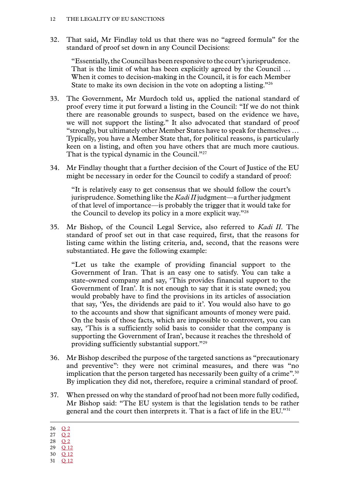32. That said, Mr Findlay told us that there was no "agreed formula" for the standard of proof set down in any Council Decisions:

"Essentially, the Council has been responsive to the court's jurisprudence. That is the limit of what has been explicitly agreed by the Council ... When it comes to decision-making in the Council, it is for each Member State to make its own decision in the vote on adopting a listing."26

- 33. The Government, Mr Murdoch told us, applied the national standard of proof every time it put forward a listing in the Council: "If we do not think there are reasonable grounds to suspect, based on the evidence we have, we will not support the listing." It also advocated that standard of proof "strongly, but ultimately other Member States have to speak for themselves … Typically, you have a Member State that, for political reasons, is particularly keen on a listing, and often you have others that are much more cautious. That is the typical dynamic in the Council."<sup>27</sup>
- 34. Mr Findlay thought that a further decision of the Court of Justice of the EU might be necessary in order for the Council to codify a standard of proof:

"It is relatively easy to get consensus that we should follow the court's jurisprudence. Something like the *Kadi II* judgment—a further judgment of that level of importance—is probably the trigger that it would take for the Council to develop its policy in a more explicit way."28

35. Mr Bishop, of the Council Legal Service, also referred to *Kadi II*. The standard of proof set out in that case required, first, that the reasons for listing came within the listing criteria, and, second, that the reasons were substantiated. He gave the following example:

"Let us take the example of providing financial support to the Government of Iran. That is an easy one to satisfy. You can take a state-owned company and say, 'This provides financial support to the Government of Iran'. It is not enough to say that it is state owned; you would probably have to find the provisions in its articles of association that say, 'Yes, the dividends are paid to it'. You would also have to go to the accounts and show that significant amounts of money were paid. On the basis of those facts, which are impossible to controvert, you can say, 'This is a sufficiently solid basis to consider that the company is supporting the Government of Iran', because it reaches the threshold of providing sufficiently substantial support."29

- 36. Mr Bishop described the purpose of the targeted sanctions as "precautionary and preventive": they were not criminal measures, and there was "no implication that the person targeted has necessarily been guilty of a crime".<sup>30</sup> By implication they did not, therefore, require a criminal standard of proof.
- 37. When pressed on why the standard of proof had not been more fully codified, Mr Bishop said: "The EU system is that the legislation tends to be rather general and the court then interprets it. That is a fact of life in the EU."31

- 28 O 2
- 29 Q [12](http://data.parliament.uk/writtenevidence/committeeevidence.svc/evidencedocument/eu-justice-subcommittee/eu-sanctions/oral/41152.html)
- 30 Q [12](http://data.parliament.uk/writtenevidence/committeeevidence.svc/evidencedocument/eu-justice-subcommittee/eu-sanctions/oral/41152.html)
- 31 Q [12](http://data.parliament.uk/writtenevidence/committeeevidence.svc/evidencedocument/eu-justice-subcommittee/eu-sanctions/oral/41152.html)

<sup>26</sup> [Q](http://data.parliament.uk/writtenevidence/committeeevidence.svc/evidencedocument/eu-justice-subcommittee/eu-sanctions/oral/41152.html) 2

<sup>27</sup> [Q](http://data.parliament.uk/writtenevidence/committeeevidence.svc/evidencedocument/eu-justice-subcommittee/eu-sanctions/oral/41152.html) 2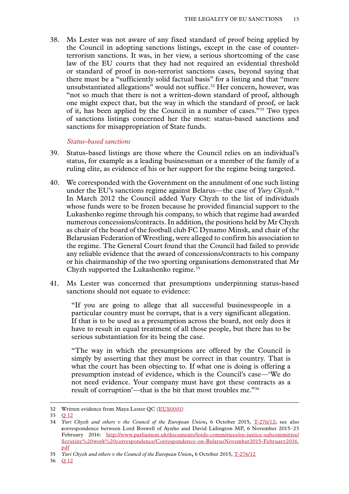<span id="page-14-0"></span>38. Ms Lester was not aware of any fixed standard of proof being applied by the Council in adopting sanctions listings, except in the case of counterterrorism sanctions. It was, in her view, a serious shortcoming of the case law of the EU courts that they had not required an evidential threshold or standard of proof in non-terrorist sanctions cases, beyond saying that there must be a "sufficiently solid factual basis" for a listing and that "mere unsubstantiated allegations" would not suffice.<sup>32</sup> Her concern, however, was "not so much that there is not a written-down standard of proof, although one might expect that, but the way in which the standard of proof, or lack of it, has been applied by the Council in a number of cases."33 Two types of sanctions listings concerned her the most: status-based sanctions and sanctions for misappropriation of State funds.

#### *Status-based sanctions*

- 39. Status-based listings are those where the Council relies on an individual's status, for example as a leading businessman or a member of the family of a ruling elite, as evidence of his or her support for the regime being targeted.
- 40. We corresponded with the Government on the annulment of one such listing under the EU's sanctions regime against Belarus—the case of *Yury Chyzh*. 34 In March 2012 the Council added Yury Chyzh to the list of individuals whose funds were to be frozen because he provided financial support to the Lukashenko regime through his company, to which that regime had awarded numerous concessions/contracts. In addition, the positions held by Mr Chyzh as chair of the board of the football club FC Dynamo Minsk, and chair of the Belarusian Federation of Wrestling, were alleged to confirm his association to the regime. The General Court found that the Council had failed to provide any reliable evidence that the award of concessions/contracts to his company or his chairmanship of the two sporting organisations demonstrated that Mr Chyzh supported the Lukashenko regime.<sup>35</sup>
- 41. Ms Lester was concerned that presumptions underpinning status-based sanctions should not equate to evidence:

"If you are going to allege that all successful businesspeople in a particular country must be corrupt, that is a very significant allegation. If that is to be used as a presumption across the board, not only does it have to result in equal treatment of all those people, but there has to be serious substantiation for its being the case.

"The way in which the presumptions are offered by the Council is simply by asserting that they must be correct in that country. That is what the court has been objecting to. If what one is doing is offering a presumption instead of evidence, which is the Council's case—'We do not need evidence. Your company must have got these contracts as a result of corruption'—that is the bit that most troubles me."36

<sup>32</sup> Written evidence from Maya Lester QC ([EUS0001\)](http://data.parliament.uk/writtenevidence/committeeevidence.svc/evidencedocument/eu-justice-subcommittee/eu-sanctions/written/41026.html)

<sup>33</sup> Q [12](http://data.parliament.uk/writtenevidence/committeeevidence.svc/evidencedocument/eu-justice-subcommittee/eu-sanctions/oral/41152.html)

<sup>34</sup> *Yuri Chyzh and others v the Council of the European Union***,** 6 October 2015, [T-276/12;](http://curia.europa.eu/juris/document/document.jsf;jsessionid=9ea7d0f130d691ccf2d1119341bfa39db89061c2c552.e34KaxiLc3eQc40LaxqMbN4PaheTe0?text=&docid=169165&pageIndex=0&doclang=EN&mode=req&dir=&occ=first&part=1&cid=514718) see also **c**orrespondence between Lord Boswell of Aynho and David Lidington MP, 6 November 2015–23 February 2016: [http://www.parliament.uk/documents/lords-committees/eu-justice-subcommittee/](http://www.parliament.uk/documents/lords-committees/eu-justice-subcommittee/Scrutiny%20work%20correspondence/Correspondence-on-BelarusNovember2015-February2016.pdf) [Scrutiny%20work%20correspondence/Correspondence-on-BelarusNovember2015-February2016.](http://www.parliament.uk/documents/lords-committees/eu-justice-subcommittee/Scrutiny%20work%20correspondence/Correspondence-on-BelarusNovember2015-February2016.pdf) [pdf](http://www.parliament.uk/documents/lords-committees/eu-justice-subcommittee/Scrutiny%20work%20correspondence/Correspondence-on-BelarusNovember2015-February2016.pdf)

<sup>35</sup> *Yuri Chyzh and others v the Council of the European Union***,** 6 October 2015, [T-276/12](http://curia.europa.eu/juris/document/document.jsf;jsessionid=9ea7d0f130d691ccf2d1119341bfa39db89061c2c552.e34KaxiLc3eQc40LaxqMbN4PaheTe0?text=&docid=169165&pageIndex=0&doclang=EN&mode=req&dir=&occ=first&part=1&cid=514718)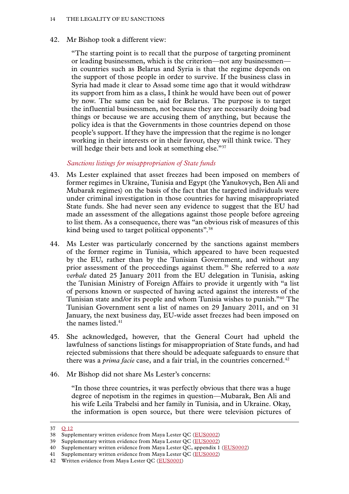<span id="page-15-0"></span>42. Mr Bishop took a different view:

"The starting point is to recall that the purpose of targeting prominent or leading businessmen, which is the criterion—not any businessmen in countries such as Belarus and Syria is that the regime depends on the support of those people in order to survive. If the business class in Syria had made it clear to Assad some time ago that it would withdraw its support from him as a class, I think he would have been out of power by now. The same can be said for Belarus. The purpose is to target the influential businessmen, not because they are necessarily doing bad things or because we are accusing them of anything, but because the policy idea is that the Governments in those countries depend on those people's support. If they have the impression that the regime is no longer working in their interests or in their favour, they will think twice. They will hedge their bets and look at something else."37

# *Sanctions listings for misappropriation of State funds*

- 43. Ms Lester explained that asset freezes had been imposed on members of former regimes in Ukraine, Tunisia and Egypt (the Yanukovych, Ben Ali and Mubarak regimes) on the basis of the fact that the targeted individuals were under criminal investigation in those countries for having misappropriated State funds. She had never seen any evidence to suggest that the EU had made an assessment of the allegations against those people before agreeing to list them. As a consequence, there was "an obvious risk of measures of this kind being used to target political opponents".38
- 44. Ms Lester was particularly concerned by the sanctions against members of the former regime in Tunisia, which appeared to have been requested by the EU, rather than by the Tunisian Government, and without any prior assessment of the proceedings against them.39 She referred to a *note verbale* dated 25 January 2011 from the EU delegation in Tunisia, asking the Tunisian Ministry of Foreign Affairs to provide it urgently with "a list of persons known or suspected of having acted against the interests of the Tunisian state and/or its people and whom Tunisia wishes to punish."40 The Tunisian Government sent a list of names on 29 January 2011, and on 31 January, the next business day, EU-wide asset freezes had been imposed on the names listed.41
- 45. She acknowledged, however, that the General Court had upheld the lawfulness of sanctions listings for misappropriation of State funds, and had rejected submissions that there should be adequate safeguards to ensure that there was a *prima facie* case, and a fair trial, in the countries concerned.<sup>42</sup>
- 46. Mr Bishop did not share Ms Lester's concerns:

"In those three countries, it was perfectly obvious that there was a huge degree of nepotism in the regimes in question—Mubarak, Ben Ali and his wife Leila Trabelsi and her family in Tunisia, and in Ukraine. Okay, the information is open source, but there were television pictures of

<sup>37</sup> Q [12](http://data.parliament.uk/writtenevidence/committeeevidence.svc/evidencedocument/eu-justice-subcommittee/eu-sanctions/oral/41152.html)

<sup>38</sup> Supplementary written evidence from Maya Lester QC ([EUS0002\)](http://data.parliament.uk/writtenevidence/committeeevidence.svc/evidencedocument/eu-justice-subcommittee/eu-sanctions/written/43000.html)

<sup>39</sup> Supplementary written evidence from Maya Lester QC ([EUS0002\)](http://data.parliament.uk/writtenevidence/committeeevidence.svc/evidencedocument/eu-justice-subcommittee/eu-sanctions/written/43000.html)

<sup>40</sup> Supplementary written evidence from Maya Lester QC, appendix 1 ([EUS0002\)](http://data.parliament.uk/writtenevidence/committeeevidence.svc/evidencedocument/eu-justice-subcommittee/eu-sanctions/written/43000.html)

<sup>41</sup> Supplementary written evidence from Maya Lester QC ([EUS0002\)](http://data.parliament.uk/writtenevidence/committeeevidence.svc/evidencedocument/eu-justice-subcommittee/eu-sanctions/written/43000.html)

<sup>42</sup> Written evidence from Maya Lester QC ([EUS0001\)](http://data.parliament.uk/writtenevidence/committeeevidence.svc/evidencedocument/eu-justice-subcommittee/eu-sanctions/written/41026.html)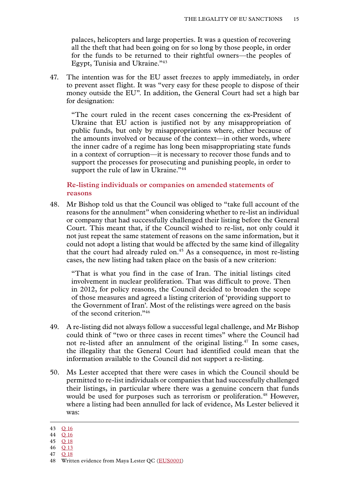<span id="page-16-0"></span>palaces, helicopters and large properties. It was a question of recovering all the theft that had been going on for so long by those people, in order for the funds to be returned to their rightful owners—the peoples of Egypt, Tunisia and Ukraine."43

47. The intention was for the EU asset freezes to apply immediately, in order to prevent asset flight. It was "very easy for these people to dispose of their money outside the EU". In addition, the General Court had set a high bar for designation:

"The court ruled in the recent cases concerning the ex-President of Ukraine that EU action is justified not by any misappropriation of public funds, but only by misappropriations where, either because of the amounts involved or because of the context—in other words, where the inner cadre of a regime has long been misappropriating state funds in a context of corruption—it is necessary to recover those funds and to support the processes for prosecuting and punishing people, in order to support the rule of law in Ukraine."<sup>44</sup>

# **Re-listing individuals or companies on amended statements of reasons**

48. Mr Bishop told us that the Council was obliged to "take full account of the reasons for the annulment" when considering whether to re-list an individual or company that had successfully challenged their listing before the General Court. This meant that, if the Council wished to re-list, not only could it not just repeat the same statement of reasons on the same information, but it could not adopt a listing that would be affected by the same kind of illegality that the court had already ruled on.<sup>45</sup> As a consequence, in most re-listing cases, the new listing had taken place on the basis of a new criterion:

"That is what you find in the case of Iran. The initial listings cited involvement in nuclear proliferation. That was difficult to prove. Then in 2012, for policy reasons, the Council decided to broaden the scope of those measures and agreed a listing criterion of 'providing support to the Government of Iran'. Most of the relistings were agreed on the basis of the second criterion."46

- 49. A re-listing did not always follow a successful legal challenge, and Mr Bishop could think of "two or three cases in recent times" where the Council had not re-listed after an annulment of the original listing.<sup>47</sup> In some cases, the illegality that the General Court had identified could mean that the information available to the Council did not support a re-listing.
- 50. Ms Lester accepted that there were cases in which the Council should be permitted to re-list individuals or companies that had successfully challenged their listings, in particular where there was a genuine concern that funds would be used for purposes such as terrorism or proliferation.<sup>48</sup> However, where a listing had been annulled for lack of evidence, Ms Lester believed it was:

- 46 Q [13](http://data.parliament.uk/writtenevidence/committeeevidence.svc/evidencedocument/eu-justice-subcommittee/eu-sanctions/oral/41152.html)
- 47 Q [18](http://data.parliament.uk/writtenevidence/committeeevidence.svc/evidencedocument/eu-justice-subcommittee/eu-sanctions/oral/41152.html)

<sup>43</sup> Q [16](http://data.parliament.uk/writtenevidence/committeeevidence.svc/evidencedocument/eu-justice-subcommittee/eu-sanctions/oral/41152.html)

<sup>44</sup> Q [16](http://data.parliament.uk/writtenevidence/committeeevidence.svc/evidencedocument/eu-justice-subcommittee/eu-sanctions/oral/41152.html)

<sup>45</sup> Q [18](http://data.parliament.uk/writtenevidence/committeeevidence.svc/evidencedocument/eu-justice-subcommittee/eu-sanctions/oral/41152.html)

<sup>48</sup> Written evidence from Maya Lester QC ([EUS0001\)](http://data.parliament.uk/writtenevidence/committeeevidence.svc/evidencedocument/eu-justice-subcommittee/eu-sanctions/written/41026.html)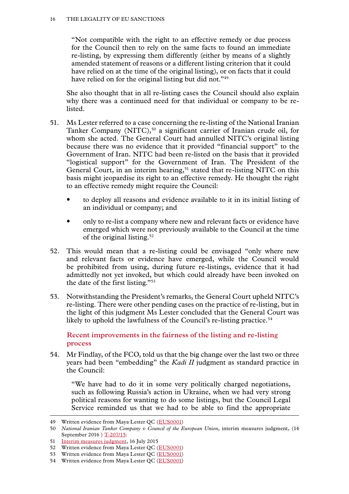<span id="page-17-0"></span>"Not compatible with the right to an effective remedy or due process for the Council then to rely on the same facts to found an immediate re-listing, by expressing them differently (either by means of a slightly amended statement of reasons or a different listing criterion that it could have relied on at the time of the original listing), or on facts that it could have relied on for the original listing but did not."<sup>49</sup>

She also thought that in all re-listing cases the Council should also explain why there was a continued need for that individual or company to be relisted.

- 51. Ms Lester referred to a case concerning the re-listing of the National Iranian Tanker Company (NITC),<sup>50</sup> a significant carrier of Iranian crude oil, for whom she acted. The General Court had annulled NITC's original listing because there was no evidence that it provided "financial support" to the Government of Iran. NITC had been re-listed on the basis that it provided "logistical support" for the Government of Iran. The President of the General Court, in an interim hearing,<sup>51</sup> stated that re-listing NITC on this basis might jeopardise its right to an effective remedy. He thought the right to an effective remedy might require the Council:
	- to deploy all reasons and evidence available to it in its initial listing of an individual or company; and
	- only to re-list a company where new and relevant facts or evidence have emerged which were not previously available to the Council at the time of the original listing.<sup>52</sup>
- 52. This would mean that a re-listing could be envisaged "only where new and relevant facts or evidence have emerged, while the Council would be prohibited from using, during future re-listings, evidence that it had admittedly not yet invoked, but which could already have been invoked on the date of the first listing."53
- 53. Notwithstanding the President's remarks, the General Court upheld NITC's re-listing. There were other pending cases on the practice of re-listing, but in the light of this judgment Ms Lester concluded that the General Court was likely to uphold the lawfulness of the Council's re-listing practice.<sup>54</sup>

**Recent improvements in the fairness of the listing and re-listing process**

54. Mr Findlay, of the FCO, told us that the big change over the last two or three years had been "embedding" the *Kadi II* judgment as standard practice in the Council:

"We have had to do it in some very politically charged negotiations, such as following Russia's action in Ukraine, when we had very strong political reasons for wanting to do some listings, but the Council Legal Service reminded us that we had to be able to find the appropriate

<sup>49</sup> Written evidence from Maya Lester QC ([EUS0001\)](http://data.parliament.uk/writtenevidence/committeeevidence.svc/evidencedocument/eu-justice-subcommittee/eu-sanctions/written/41026.html)

<sup>50</sup> *National Iranian Tanker Company v Council of the European Union*, interim measures judgment, (14 September 2016 ) [T-207/15](http://eur-lex.europa.eu/legal-content/EN/TXT/HTML/?uri=CELEX:62015TO0207&qid=1484829169618&from=EN):

<sup>51</sup> [Interim measures judgment,](http://eur-lex.europa.eu/legal-content/EN/TXT/HTML/?uri=CELEX:62015TO0207&from=EN) 16 July 2015

<sup>52</sup> Written evidence from Maya Lester QC ([EUS0001\)](http://data.parliament.uk/writtenevidence/committeeevidence.svc/evidencedocument/eu-justice-subcommittee/eu-sanctions/written/41026.html)

<sup>53</sup> Written evidence from Maya Lester QC ([EUS0001\)](http://data.parliament.uk/writtenevidence/committeeevidence.svc/evidencedocument/eu-justice-subcommittee/eu-sanctions/written/41026.html)

<sup>54</sup> Written evidence from Maya Lester QC ([EUS0001\)](http://data.parliament.uk/writtenevidence/committeeevidence.svc/evidencedocument/eu-justice-subcommittee/eu-sanctions/written/41026.html)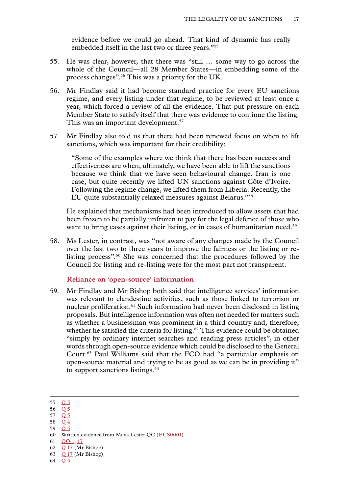evidence before we could go ahead. That kind of dynamic has really embedded itself in the last two or three years."55

- <span id="page-18-0"></span>55. He was clear, however, that there was "still … some way to go across the whole of the Council—all 28 Member States—in embedding some of the process changes".56 This was a priority for the UK.
- 56. Mr Findlay said it had become standard practice for every EU sanctions regime, and every listing under that regime, to be reviewed at least once a year, which forced a review of all the evidence. That put pressure on each Member State to satisfy itself that there was evidence to continue the listing. This was an important development.<sup>57</sup>
- 57. Mr Findlay also told us that there had been renewed focus on when to lift sanctions, which was important for their credibility:

"Some of the examples where we think that there has been success and effectiveness are when, ultimately, we have been able to lift the sanctions because we think that we have seen behavioural change. Iran is one case, but quite recently we lifted UN sanctions against Côte d'Ivoire. Following the regime change, we lifted them from Liberia. Recently, the EU quite substantially relaxed measures against Belarus."58

He explained that mechanisms had been introduced to allow assets that had been frozen to be partially unfrozen to pay for the legal defence of those who want to bring cases against their listing, or in cases of humanitarian need.<sup>59</sup>

58. Ms Lester, in contrast, was "not aware of any changes made by the Council over the last two to three years to improve the fairness or the listing or relisting process".60 She was concerned that the procedures followed by the Council for listing and re-listing were for the most part not transparent.

**Reliance on 'open-source' information**

59. Mr Findlay and Mr Bishop both said that intelligence services' information was relevant to clandestine activities, such as those linked to terrorism or nuclear proliferation.<sup>61</sup> Such information had never been disclosed in listing proposals. But intelligence information was often not needed for matters such as whether a businessman was prominent in a third country and, therefore, whether he satisfied the criteria for listing.<sup>62</sup> This evidence could be obtained "simply by ordinary internet searches and reading press articles", in other words through open-source evidence which could be disclosed to the General Court.63 Paul Williams said that the FCO had "a particular emphasis on open-source material and trying to be as good as we can be in providing it" to support sanctions listings.<sup>64</sup>

- 56 [Q](http://data.parliament.uk/writtenevidence/committeeevidence.svc/evidencedocument/eu-justice-subcommittee/eu-sanctions/oral/41152.html) 5
- 57 [Q](http://data.parliament.uk/writtenevidence/committeeevidence.svc/evidencedocument/eu-justice-subcommittee/eu-sanctions/oral/41152.html) 5
- 58 [Q](http://data.parliament.uk/writtenevidence/committeeevidence.svc/evidencedocument/eu-justice-subcommittee/eu-sanctions/oral/41152.html) 4 59 [Q](http://data.parliament.uk/writtenevidence/committeeevidence.svc/evidencedocument/eu-justice-subcommittee/eu-sanctions/oral/41152.html) 5

- 61 [QQ](http://data.parliament.uk/writtenevidence/committeeevidence.svc/evidencedocument/eu-justice-subcommittee/eu-sanctions/oral/41152.html) 1, [17](http://data.parliament.uk/writtenevidence/committeeevidence.svc/evidencedocument/eu-justice-subcommittee/eu-sanctions/oral/41152.html)
- 62 Q [17](http://data.parliament.uk/writtenevidence/committeeevidence.svc/evidencedocument/eu-justice-subcommittee/eu-sanctions/oral/41152.html) (Mr Bishop)
- 63 Q [17](http://data.parliament.uk/writtenevidence/committeeevidence.svc/evidencedocument/eu-justice-subcommittee/eu-sanctions/oral/41152.html) (Mr Bishop)
- 64 [Q](http://data.parliament.uk/writtenevidence/committeeevidence.svc/evidencedocument/eu-justice-subcommittee/eu-sanctions/oral/41152.html) 5

<sup>55</sup> [Q](http://data.parliament.uk/writtenevidence/committeeevidence.svc/evidencedocument/eu-justice-subcommittee/eu-sanctions/oral/41152.html) 5

<sup>60</sup> Written evidence from Maya Lester QC ([EUS0001\)](http://data.parliament.uk/writtenevidence/committeeevidence.svc/evidencedocument/eu-justice-subcommittee/eu-sanctions/written/41026.html)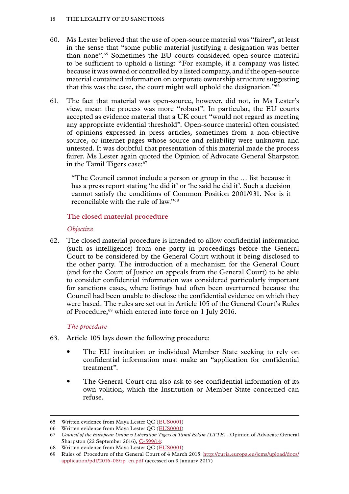- <span id="page-19-0"></span>60. Ms Lester believed that the use of open-source material was "fairer", at least in the sense that "some public material justifying a designation was better than none".65 Sometimes the EU courts considered open-source material to be sufficient to uphold a listing: "For example, if a company was listed because it was owned or controlled by a listed company, and if the open-source material contained information on corporate ownership structure suggesting that this was the case, the court might well uphold the designation."66
- 61. The fact that material was open-source, however, did not, in Ms Lester's view, mean the process was more "robust". In particular, the EU courts accepted as evidence material that a UK court "would not regard as meeting any appropriate evidential threshold". Open-source material often consisted of opinions expressed in press articles, sometimes from a non-objective source, or internet pages whose source and reliability were unknown and untested. It was doubtful that presentation of this material made the process fairer. Ms Lester again quoted the Opinion of Advocate General Sharpston in the Tamil Tigers case:<sup>67</sup>

"The Council cannot include a person or group in the … list because it has a press report stating 'he did it' or 'he said he did it'. Such a decision cannot satisfy the conditions of Common Position 2001/931. Nor is it reconcilable with the rule of law."68

# **The closed material procedure**

# *Objective*

62. The closed material procedure is intended to allow confidential information (such as intelligence) from one party in proceedings before the General Court to be considered by the General Court without it being disclosed to the other party. The introduction of a mechanism for the General Court (and for the Court of Justice on appeals from the General Court) to be able to consider confidential information was considered particularly important for sanctions cases, where listings had often been overturned because the Council had been unable to disclose the confidential evidence on which they were based. The rules are set out in Article 105 of the General Court's Rules of Procedure,<sup>69</sup> which entered into force on 1 July 2016.

# *The procedure*

- 63. Article 105 lays down the following procedure:
	- The EU institution or individual Member State seeking to rely on confidential information must make an "application for confidential treatment".
	- The General Court can also ask to see confidential information of its own volition, which the Institution or Member State concerned can refuse.

<sup>65</sup> Written evidence from Maya Lester QC ([EUS0001\)](http://data.parliament.uk/writtenevidence/committeeevidence.svc/evidencedocument/eu-justice-subcommittee/eu-sanctions/written/41026.html)

<sup>66</sup> Written evidence from Maya Lester QC ([EUS0001\)](http://data.parliament.uk/writtenevidence/committeeevidence.svc/evidencedocument/eu-justice-subcommittee/eu-sanctions/written/41026.html)

<sup>67</sup> *Council of the European Union v Liberation Tigers of Tamil Eelam (LTTE) ,* Opinion of Advocate General Sharpston (22 September 2016), [C-599/14:](http://eur-lex.europa.eu/legal-content/EN/TXT/HTML/?uri=CELEX:62014CC0599&from=EN)

<sup>68</sup> Written evidence from Maya Lester QC ([EUS0001\)](http://data.parliament.uk/writtenevidence/committeeevidence.svc/evidencedocument/eu-justice-subcommittee/eu-sanctions/written/41026.html)

<sup>69</sup> Rules of Procedure of the General Court of 4 March 2015: [http://curia.europa.eu/jcms/upload/docs/](http://curia.europa.eu/jcms/upload/docs/application/pdf/2016-08/rp_en.pdf) [application/pdf/2016-08/rp\\_en.pdf](http://curia.europa.eu/jcms/upload/docs/application/pdf/2016-08/rp_en.pdf) (accessed on 9 January 2017)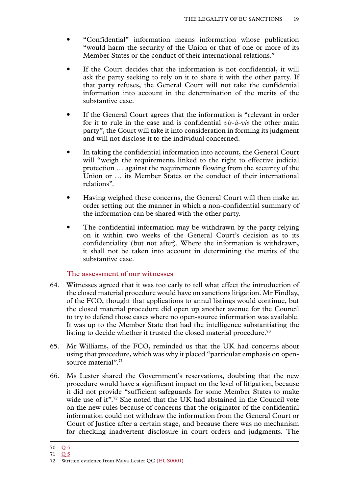- <span id="page-20-0"></span>• "Confidential" information means information whose publication "would harm the security of the Union or that of one or more of its Member States or the conduct of their international relations."
- If the Court decides that the information is not confidential, it will ask the party seeking to rely on it to share it with the other party. If that party refuses, the General Court will not take the confidential information into account in the determination of the merits of the substantive case.
- If the General Court agrees that the information is "relevant in order for it to rule in the case and is confidential *vis-à-vis* the other main party", the Court will take it into consideration in forming its judgment and will not disclose it to the individual concerned.
- In taking the confidential information into account, the General Court will "weigh the requirements linked to the right to effective judicial protection … against the requirements flowing from the security of the Union or … its Member States or the conduct of their international relations".
- Having weighed these concerns, the General Court will then make an order setting out the manner in which a non-confidential summary of the information can be shared with the other party.
- The confidential information may be withdrawn by the party relying on it within two weeks of the General Court's decision as to its confidentiality (but not after). Where the information is withdrawn, it shall not be taken into account in determining the merits of the substantive case.

# **The assessment of our witnesses**

- 64. Witnesses agreed that it was too early to tell what effect the introduction of the closed material procedure would have on sanctions litigation. Mr Findlay, of the FCO, thought that applications to annul listings would continue, but the closed material procedure did open up another avenue for the Council to try to defend those cases where no open-source information was available. It was up to the Member State that had the intelligence substantiating the listing to decide whether it trusted the closed material procedure.<sup>70</sup>
- 65. Mr Williams, of the FCO, reminded us that the UK had concerns about using that procedure, which was why it placed "particular emphasis on opensource material".<sup>71</sup>
- 66. Ms Lester shared the Government's reservations, doubting that the new procedure would have a significant impact on the level of litigation, because it did not provide "sufficient safeguards for some Member States to make wide use of it".<sup>72</sup> She noted that the UK had abstained in the Council vote on the new rules because of concerns that the originator of the confidential information could not withdraw the information from the General Court or Court of Justice after a certain stage, and because there was no mechanism for checking inadvertent disclosure in court orders and judgments. The

<sup>70</sup> [Q](http://data.parliament.uk/writtenevidence/committeeevidence.svc/evidencedocument/eu-justice-subcommittee/eu-sanctions/oral/41152.html) 5

<sup>71</sup> [Q](http://data.parliament.uk/writtenevidence/committeeevidence.svc/evidencedocument/eu-justice-subcommittee/eu-sanctions/oral/41152.html) 5

<sup>72</sup> Written evidence from Maya Lester QC ([EUS0001\)](http://data.parliament.uk/writtenevidence/committeeevidence.svc/evidencedocument/eu-justice-subcommittee/eu-sanctions/written/41026.html)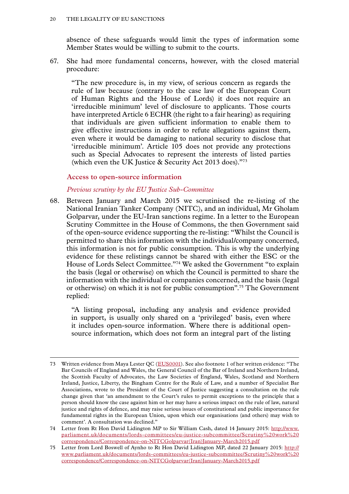<span id="page-21-0"></span>absence of these safeguards would limit the types of information some Member States would be willing to submit to the courts.

67. She had more fundamental concerns, however, with the closed material procedure:

"The new procedure is, in my view, of serious concern as regards the rule of law because (contrary to the case law of the European Court of Human Rights and the House of Lords) it does not require an 'irreducible minimum' level of disclosure to applicants. Those courts have interpreted Article 6 ECHR (the right to a fair hearing) as requiring that individuals are given sufficient information to enable them to give effective instructions in order to refute allegations against them, even where it would be damaging to national security to disclose that 'irreducible minimum'. Article 105 does not provide any protections such as Special Advocates to represent the interests of listed parties (which even the UK Justice & Security Act 2013 does)."73

# **Access to open-source information**

# *Previous scrutiny by the EU Justice Sub-Committee*

68. Between January and March 2015 we scrutinised the re-listing of the National Iranian Tanker Company (NITC), and an individual, Mr Gholam Golparvar, under the EU-Iran sanctions regime. In a letter to the European Scrutiny Committee in the House of Commons, the then Government said of the open-source evidence supporting the re-listing: "Whilst the Council is permitted to share this information with the individual/company concerned, this information is not for public consumption. This is why the underlying evidence for these relistings cannot be shared with either the ESC or the House of Lords Select Committee."74 We asked the Government "to explain the basis (legal or otherwise) on which the Council is permitted to share the information with the individual or companies concerned, and the basis (legal or otherwise) on which it is not for public consumption".75 The Government replied:

"A listing proposal, including any analysis and evidence provided in support, is usually only shared on a 'privileged' basis, even where it includes open-source information. Where there is additional opensource information, which does not form an integral part of the listing

<sup>73</sup> Written evidence from Maya Lester QC ([EUS0001](http://data.parliament.uk/writtenevidence/committeeevidence.svc/evidencedocument/eu-justice-subcommittee/eu-sanctions/written/41026.html)). See also footnote 1 of her written evidence: "The Bar Councils of England and Wales, the General Council of the Bar of Ireland and Northern Ireland, the Scottish Faculty of Advocates, the Law Societies of England, Wales, Scotland and Northern Ireland, Justice, Liberty, the Bingham Centre for the Rule of Law, and a number of Specialist Bar Associations, wrote to the President of the Court of Justice suggesting a consultation on the rule change given that 'an amendment to the Court's rules to permit exceptions to the principle that a person should know the case against him or her may have a serious impact on the rule of law, natural justice and rights of defence, and may raise serious issues of constitutional and public importance for fundamental rights in the European Union, upon which our organisations (and others) may wish to comment'. A consultation was declined."

<sup>74</sup> Letter from Rt Hon David Lidington MP to Sir William Cash, dated 14 January 2015: [http://www.](http://www.parliament.uk/documents/lords-committees/eu-justice-subcommittee/Scrutiny%20work%20correspondence/Correspondence-on-NITCGolparvar(Iran)January-March2015.pdf) [parliament.uk/documents/lords-committees/eu-justice-subcommittee/Scrutiny%20work%20](http://www.parliament.uk/documents/lords-committees/eu-justice-subcommittee/Scrutiny%20work%20correspondence/Correspondence-on-NITCGolparvar(Iran)January-March2015.pdf) [correspondence/Correspondence-on-NITCGolparvar\(Iran\)January-March2015.pdf](http://www.parliament.uk/documents/lords-committees/eu-justice-subcommittee/Scrutiny%20work%20correspondence/Correspondence-on-NITCGolparvar(Iran)January-March2015.pdf)

<sup>75</sup> Letter from Lord Boswell of Aynho to Rt Hon David Lidington MP, dated 22 January 2015: [http://](http://www.parliament.uk/documents/lords-committees/eu-justice-subcommittee/Scrutiny%20work%20correspondence/Correspondence-on-NITCGolparvar(Iran)January-March2015.pdf) [www.parliament.uk/documents/lords-committees/eu-justice-subcommittee/Scrutiny%20work%20](http://www.parliament.uk/documents/lords-committees/eu-justice-subcommittee/Scrutiny%20work%20correspondence/Correspondence-on-NITCGolparvar(Iran)January-March2015.pdf) [correspondence/Correspondence-on-NITCGolparvar\(Iran\)January-March2015.pdf](http://www.parliament.uk/documents/lords-committees/eu-justice-subcommittee/Scrutiny%20work%20correspondence/Correspondence-on-NITCGolparvar(Iran)January-March2015.pdf)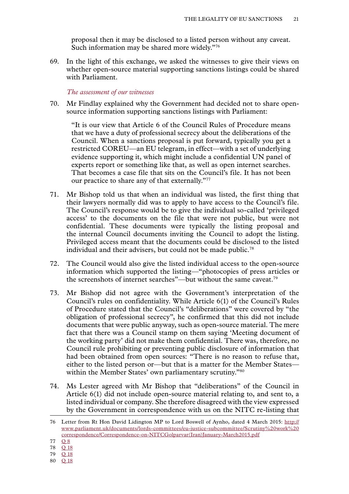proposal then it may be disclosed to a listed person without any caveat. Such information may be shared more widely."76

<span id="page-22-0"></span>69. In the light of this exchange, we asked the witnesses to give their views on whether open-source material supporting sanctions listings could be shared with Parliament.

#### *The assessment of our witnesses*

70. Mr Findlay explained why the Government had decided not to share opensource information supporting sanctions listings with Parliament:

"It is our view that Article 6 of the Council Rules of Procedure means that we have a duty of professional secrecy about the deliberations of the Council. When a sanctions proposal is put forward, typically you get a restricted COREU—an EU telegram, in effect—with a set of underlying evidence supporting it, which might include a confidential UN panel of experts report or something like that, as well as open internet searches. That becomes a case file that sits on the Council's file. It has not been our practice to share any of that externally."77

- 71. Mr Bishop told us that when an individual was listed, the first thing that their lawyers normally did was to apply to have access to the Council's file. The Council's response would be to give the individual so-called 'privileged access' to the documents on the file that were not public, but were not confidential. These documents were typically the listing proposal and the internal Council documents inviting the Council to adopt the listing. Privileged access meant that the documents could be disclosed to the listed individual and their advisers, but could not be made public.<sup>78</sup>
- 72. The Council would also give the listed individual access to the open-source information which supported the listing—"photocopies of press articles or the screenshots of internet searches"—but without the same caveat.79
- 73. Mr Bishop did not agree with the Government's interpretation of the Council's rules on confidentiality. While Article 6(1) of the Council's Rules of Procedure stated that the Council's "deliberations" were covered by "the obligation of professional secrecy", he confirmed that this did not include documents that were public anyway, such as open-source material. The mere fact that there was a Council stamp on them saying 'Meeting document of the working party' did not make them confidential. There was, therefore, no Council rule prohibiting or preventing public disclosure of information that had been obtained from open sources: "There is no reason to refuse that, either to the listed person or—but that is a matter for the Member States within the Member States' own parliamentary scrutiny."80
- 74. Ms Lester agreed with Mr Bishop that "deliberations" of the Council in Article 6(1) did not include open-source material relating to, and sent to, a listed individual or company. She therefore disagreed with the view expressed by the Government in correspondence with us on the NITC re-listing that

80 Q [18](http://data.parliament.uk/writtenevidence/committeeevidence.svc/evidencedocument/eu-justice-subcommittee/eu-sanctions/oral/41152.html)

<sup>76</sup> Letter from Rt Hon David Lidington MP to Lord Boswell of Aynho, dated 4 March 2015: [http://](http://www.parliament.uk/documents/lords-committees/eu-justice-subcommittee/Scrutiny%20work%20correspondence/Correspondence-on-NITCGolparvar(Iran)January-March2015.pdf) [www.parliament.uk/documents/lords-committees/eu-justice-subcommittee/Scrutiny%20work%20](http://www.parliament.uk/documents/lords-committees/eu-justice-subcommittee/Scrutiny%20work%20correspondence/Correspondence-on-NITCGolparvar(Iran)January-March2015.pdf) [correspondence/Correspondence-on-NITCGolparvar\(Iran\)January-March2015.pdf](http://www.parliament.uk/documents/lords-committees/eu-justice-subcommittee/Scrutiny%20work%20correspondence/Correspondence-on-NITCGolparvar(Iran)January-March2015.pdf)

<sup>77</sup> [Q](http://data.parliament.uk/writtenevidence/committeeevidence.svc/evidencedocument/eu-justice-subcommittee/eu-sanctions/oral/41152.html) 8

<sup>78</sup> Q [18](http://data.parliament.uk/writtenevidence/committeeevidence.svc/evidencedocument/eu-justice-subcommittee/eu-sanctions/oral/41152.html)

<sup>79</sup> Q [18](http://data.parliament.uk/writtenevidence/committeeevidence.svc/evidencedocument/eu-justice-subcommittee/eu-sanctions/oral/41152.html)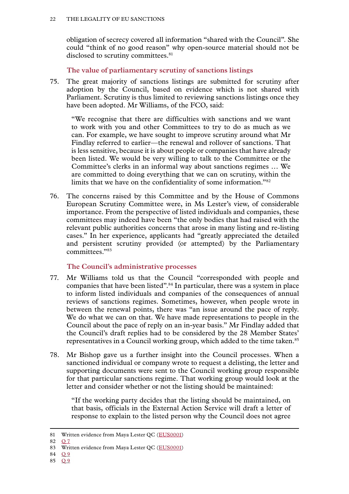<span id="page-23-0"></span>obligation of secrecy covered all information "shared with the Council". She could "think of no good reason" why open-source material should not be disclosed to scrutiny committees.<sup>81</sup>

**The value of parliamentary scrutiny of sanctions listings**

75. The great majority of sanctions listings are submitted for scrutiny after adoption by the Council, based on evidence which is not shared with Parliament. Scrutiny is thus limited to reviewing sanctions listings once they have been adopted. Mr Williams, of the FCO, said:

"We recognise that there are difficulties with sanctions and we want to work with you and other Committees to try to do as much as we can. For example, we have sought to improve scrutiny around what Mr Findlay referred to earlier—the renewal and rollover of sanctions. That is less sensitive, because it is about people or companies that have already been listed. We would be very willing to talk to the Committee or the Committee's clerks in an informal way about sanctions regimes … We are committed to doing everything that we can on scrutiny, within the limits that we have on the confidentiality of some information."82

76. The concerns raised by this Committee and by the House of Commons European Scrutiny Committee were, in Ms Lester's view, of considerable importance. From the perspective of listed individuals and companies, these committees may indeed have been "the only bodies that had raised with the relevant public authorities concerns that arose in many listing and re-listing cases." In her experience, applicants had "greatly appreciated the detailed and persistent scrutiny provided (or attempted) by the Parliamentary committees."83

# **The Council's administrative processes**

- 77. Mr Williams told us that the Council "corresponded with people and companies that have been listed".84 In particular, there was a system in place to inform listed individuals and companies of the consequences of annual reviews of sanctions regimes. Sometimes, however, when people wrote in between the renewal points, there was "an issue around the pace of reply. We do what we can on that. We have made representations to people in the Council about the pace of reply on an in-year basis." Mr Findlay added that the Council's draft replies had to be considered by the 28 Member States' representatives in a Council working group, which added to the time taken.<sup>85</sup>
- 78. Mr Bishop gave us a further insight into the Council processes. When a sanctioned individual or company wrote to request a delisting, the letter and supporting documents were sent to the Council working group responsible for that particular sanctions regime. That working group would look at the letter and consider whether or not the listing should be maintained:

"If the working party decides that the listing should be maintained, on that basis, officials in the External Action Service will draft a letter of response to explain to the listed person why the Council does not agree

82  $\Omega$  7

85 [Q](http://data.parliament.uk/writtenevidence/committeeevidence.svc/evidencedocument/eu-justice-subcommittee/eu-sanctions/oral/41152.html) 9

<sup>81</sup> Written evidence from Maya Lester QC ([EUS0001\)](http://data.parliament.uk/writtenevidence/committeeevidence.svc/evidencedocument/eu-justice-subcommittee/eu-sanctions/written/41026.html)

<sup>83</sup> Written evidence from Maya Lester QC ([EUS0001\)](http://data.parliament.uk/writtenevidence/committeeevidence.svc/evidencedocument/eu-justice-subcommittee/eu-sanctions/written/41026.html)

<sup>84</sup> [Q](http://data.parliament.uk/writtenevidence/committeeevidence.svc/evidencedocument/eu-justice-subcommittee/eu-sanctions/oral/41152.html) 9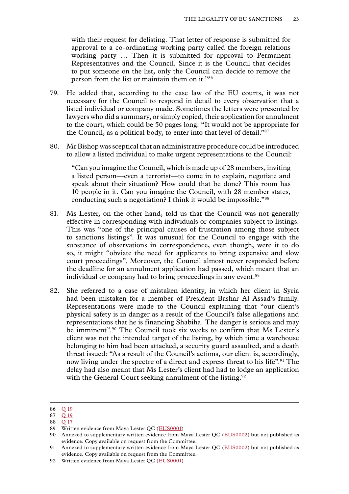with their request for delisting. That letter of response is submitted for approval to a co-ordinating working party called the foreign relations working party … Then it is submitted for approval to Permanent Representatives and the Council. Since it is the Council that decides to put someone on the list, only the Council can decide to remove the person from the list or maintain them on it."86

- 79. He added that, according to the case law of the EU courts, it was not necessary for the Council to respond in detail to every observation that a listed individual or company made. Sometimes the letters were presented by lawyers who did a summary, or simply copied, their application for annulment to the court, which could be 50 pages long: "It would not be appropriate for the Council, as a political body, to enter into that level of detail."87
- 80. Mr Bishop was sceptical that an administrative procedure could be introduced to allow a listed individual to make urgent representations to the Council:

"Can you imagine the Council, which is made up of 28 members, inviting a listed person—even a terrorist—to come in to explain, negotiate and speak about their situation? How could that be done? This room has 10 people in it. Can you imagine the Council, with 28 member states, conducting such a negotiation? I think it would be impossible."88

- 81. Ms Lester, on the other hand, told us that the Council was not generally effective in corresponding with individuals or companies subject to listings. This was "one of the principal causes of frustration among those subject to sanctions listings". It was unusual for the Council to engage with the substance of observations in correspondence, even though, were it to do so, it might "obviate the need for applicants to bring expensive and slow court proceedings". Moreover, the Council almost never responded before the deadline for an annulment application had passed, which meant that an individual or company had to bring proceedings in any event.<sup>89</sup>
- 82. She referred to a case of mistaken identity, in which her client in Syria had been mistaken for a member of President Bashar Al Assad's family. Representations were made to the Council explaining that "our client's physical safety is in danger as a result of the Council's false allegations and representations that he is financing Shabiha. The danger is serious and may be imminent".<sup>90</sup> The Council took six weeks to confirm that Ms Lester's client was not the intended target of the listing, by which time a warehouse belonging to him had been attacked, a security guard assaulted, and a death threat issued: "As a result of the Council's actions, our client is, accordingly, now living under the spectre of a direct and express threat to his life".<sup>91</sup> The delay had also meant that Ms Lester's client had had to lodge an application with the General Court seeking annulment of the listing.<sup>92</sup>

<sup>86</sup> Q [19](http://data.parliament.uk/writtenevidence/committeeevidence.svc/evidencedocument/eu-justice-subcommittee/eu-sanctions/oral/41152.html)

<sup>87</sup> Q [19](http://data.parliament.uk/writtenevidence/committeeevidence.svc/evidencedocument/eu-justice-subcommittee/eu-sanctions/oral/41152.html) 88 Q [17](http://data.parliament.uk/writtenevidence/committeeevidence.svc/evidencedocument/eu-justice-subcommittee/eu-sanctions/oral/41152.html)

<sup>89</sup> Written evidence from Maya Lester QC ([EUS0001\)](http://data.parliament.uk/writtenevidence/committeeevidence.svc/evidencedocument/eu-justice-subcommittee/eu-sanctions/written/41026.html)

<sup>90</sup> Annexed to supplementary written evidence from Maya Lester QC ([EUS0002](http://data.parliament.uk/writtenevidence/committeeevidence.svc/evidencedocument/eu-justice-subcommittee/eu-sanctions/written/43000.html)) but not published as evidence. Copy available on request from the Committee.

<sup>91</sup> Annexed to supplementary written evidence from Maya Lester QC ([EUS0002](http://data.parliament.uk/writtenevidence/committeeevidence.svc/evidencedocument/eu-justice-subcommittee/eu-sanctions/written/43000.html)) but not published as evidence. Copy available on request from the Committee.

<sup>92</sup> Written evidence from Maya Lester QC ([EUS0001\)](http://data.parliament.uk/writtenevidence/committeeevidence.svc/evidencedocument/eu-justice-subcommittee/eu-sanctions/written/41026.html)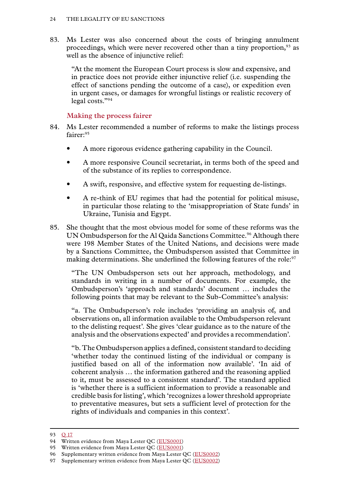<span id="page-25-0"></span>83. Ms Lester was also concerned about the costs of bringing annulment proceedings, which were never recovered other than a tiny proportion,<sup>93</sup> as well as the absence of injunctive relief:

"At the moment the European Court process is slow and expensive, and in practice does not provide either injunctive relief (i.e. suspending the effect of sanctions pending the outcome of a case), or expedition even in urgent cases, or damages for wrongful listings or realistic recovery of legal costs."94

# **Making the process fairer**

- 84. Ms Lester recommended a number of reforms to make the listings process fairer:95
	- A more rigorous evidence gathering capability in the Council.
	- A more responsive Council secretariat, in terms both of the speed and of the substance of its replies to correspondence.
	- A swift, responsive, and effective system for requesting de-listings.
	- A re-think of EU regimes that had the potential for political misuse, in particular those relating to the 'misappropriation of State funds' in Ukraine, Tunisia and Egypt.
- 85. She thought that the most obvious model for some of these reforms was the UN Ombudsperson for the Al Qaida Sanctions Committee.<sup>96</sup> Although there were 198 Member States of the United Nations, and decisions were made by a Sanctions Committee, the Ombudsperson assisted that Committee in making determinations. She underlined the following features of the role:<sup>97</sup>

"The UN Ombudsperson sets out her approach, methodology, and standards in writing in a number of documents. For example, the Ombudsperson's 'approach and standards' document … includes the following points that may be relevant to the Sub-Committee's analysis:

"a. The Ombudsperson's role includes 'providing an analysis of, and observations on, all information available to the Ombudsperson relevant to the delisting request'. She gives 'clear guidance as to the nature of the analysis and the observations expected' and provides a recommendation'.

"b. The Ombudsperson applies a defined, consistent standard to deciding 'whether today the continued listing of the individual or company is justified based on all of the information now available'. 'In aid of coherent analysis … the information gathered and the reasoning applied to it, must be assessed to a consistent standard'. The standard applied is 'whether there is a sufficient information to provide a reasonable and credible basis for listing', which 'recognizes a lower threshold appropriate to preventative measures, but sets a sufficient level of protection for the rights of individuals and companies in this context'.

<sup>93</sup> Q [17](http://data.parliament.uk/writtenevidence/committeeevidence.svc/evidencedocument/eu-justice-subcommittee/eu-sanctions/oral/41152.html)

<sup>94</sup> Written evidence from Maya Lester OC ([EUS0001\)](http://data.parliament.uk/writtenevidence/committeeevidence.svc/evidencedocument/eu-justice-subcommittee/eu-sanctions/written/41026.html)

<sup>95</sup> Written evidence from Maya Lester OC ([EUS0001\)](http://data.parliament.uk/writtenevidence/committeeevidence.svc/evidencedocument/eu-justice-subcommittee/eu-sanctions/written/41026.html)

<sup>96</sup> Supplementary written evidence from Maya Lester QC ([EUS0002\)](http://data.parliament.uk/writtenevidence/committeeevidence.svc/evidencedocument/eu-justice-subcommittee/eu-sanctions/written/43000.html)

<sup>97</sup> Supplementary written evidence from Maya Lester QC ([EUS0002\)](http://data.parliament.uk/writtenevidence/committeeevidence.svc/evidencedocument/eu-justice-subcommittee/eu-sanctions/written/43000.html)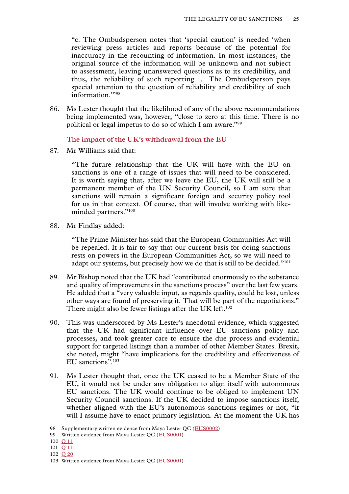<span id="page-26-0"></span>"c. The Ombudsperson notes that 'special caution' is needed 'when reviewing press articles and reports because of the potential for inaccuracy in the recounting of information. In most instances, the original source of the information will be unknown and not subject to assessment, leaving unanswered questions as to its credibility, and thus, the reliability of such reporting … The Ombudsperson pays special attention to the question of reliability and credibility of such information.""98

86. Ms Lester thought that the likelihood of any of the above recommendations being implemented was, however, "close to zero at this time. There is no political or legal impetus to do so of which I am aware."99

**The impact of the UK's withdrawal from the EU**

87. Mr Williams said that:

"The future relationship that the UK will have with the EU on sanctions is one of a range of issues that will need to be considered. It is worth saying that, after we leave the EU, the UK will still be a permanent member of the UN Security Council, so I am sure that sanctions will remain a significant foreign and security policy tool for us in that context. Of course, that will involve working with likeminded partners."100

88. Mr Findlay added:

"The Prime Minister has said that the European Communities Act will be repealed. It is fair to say that our current basis for doing sanctions rests on powers in the European Communities Act, so we will need to adapt our systems, but precisely how we do that is still to be decided."<sup>101</sup>

- 89. Mr Bishop noted that the UK had "contributed enormously to the substance and quality of improvements in the sanctions process" over the last few years. He added that a "very valuable input, as regards quality, could be lost, unless other ways are found of preserving it. That will be part of the negotiations." There might also be fewer listings after the UK left.<sup>102</sup>
- 90. This was underscored by Ms Lester's anecdotal evidence, which suggested that the UK had significant influence over EU sanctions policy and processes, and took greater care to ensure the due process and evidential support for targeted listings than a number of other Member States. Brexit, she noted, might "have implications for the credibility and effectiveness of EU sanctions".103
- 91. Ms Lester thought that, once the UK ceased to be a Member State of the EU, it would not be under any obligation to align itself with autonomous EU sanctions. The UK would continue to be obliged to implement UN Security Council sanctions. If the UK decided to impose sanctions itself, whether aligned with the EU's autonomous sanctions regimes or not, "it will I assume have to enact primary legislation. At the moment the UK has

102 Q [20](http://data.parliament.uk/writtenevidence/committeeevidence.svc/evidencedocument/eu-justice-subcommittee/eu-sanctions/oral/41152.html)

<sup>98</sup> Supplementary written evidence from Maya Lester QC ([EUS0002\)](http://data.parliament.uk/writtenevidence/committeeevidence.svc/evidencedocument/eu-justice-subcommittee/eu-sanctions/written/43000.html)

<sup>99</sup> Written evidence from Maya Lester QC ([EUS0001\)](http://data.parliament.uk/writtenevidence/committeeevidence.svc/evidencedocument/eu-justice-subcommittee/eu-sanctions/written/41026.html)

<sup>100</sup> Q [11](http://data.parliament.uk/writtenevidence/committeeevidence.svc/evidencedocument/eu-justice-subcommittee/eu-sanctions/oral/41152.html)

<sup>101</sup> Q [11](http://data.parliament.uk/writtenevidence/committeeevidence.svc/evidencedocument/eu-justice-subcommittee/eu-sanctions/oral/41152.html)

<sup>103</sup> Written evidence from Maya Lester QC ([EUS0001\)](http://data.parliament.uk/writtenevidence/committeeevidence.svc/evidencedocument/eu-justice-subcommittee/eu-sanctions/written/41026.html)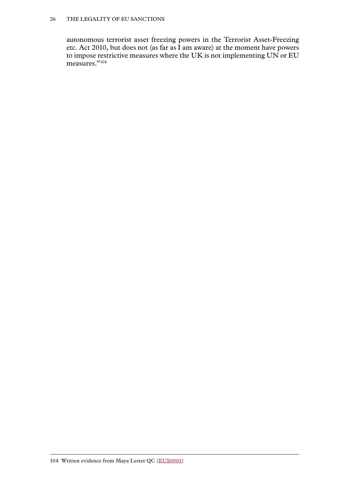#### 26 The legality of EU sanctions

autonomous terrorist asset freezing powers in the Terrorist Asset-Freezing etc. Act 2010, but does not (as far as I am aware) at the moment have powers to impose restrictive measures where the UK is not implementing UN or EU measures."<sup>104</sup>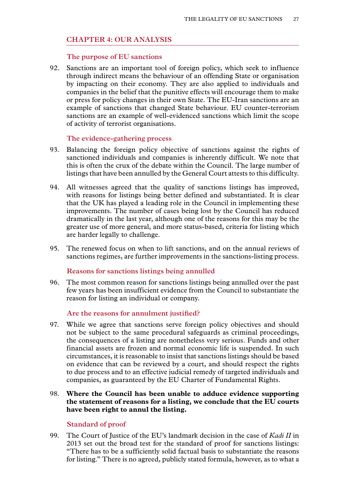# <span id="page-28-0"></span>**Chapter 4: OUR ANALYSIS**

#### **The purpose of EU sanctions**

92. Sanctions are an important tool of foreign policy, which seek to influence through indirect means the behaviour of an offending State or organisation by impacting on their economy. They are also applied to individuals and companies in the belief that the punitive effects will encourage them to make or press for policy changes in their own State. The EU-Iran sanctions are an example of sanctions that changed State behaviour. EU counter-terrorism sanctions are an example of well-evidenced sanctions which limit the scope of activity of terrorist organisations.

# **The evidence-gathering process**

- 93. Balancing the foreign policy objective of sanctions against the rights of sanctioned individuals and companies is inherently difficult. We note that this is often the crux of the debate within the Council. The large number of listings that have been annulled by the General Court attests to this difficulty.
- 94. All witnesses agreed that the quality of sanctions listings has improved, with reasons for listings being better defined and substantiated. It is clear that the UK has played a leading role in the Council in implementing these improvements. The number of cases being lost by the Council has reduced dramatically in the last year, although one of the reasons for this may be the greater use of more general, and more status-based, criteria for listing which are harder legally to challenge.
- 95. The renewed focus on when to lift sanctions, and on the annual reviews of sanctions regimes, are further improvements in the sanctions-listing process.

#### **Reasons for sanctions listings being annulled**

96. The most common reason for sanctions listings being annulled over the past few years has been insufficient evidence from the Council to substantiate the reason for listing an individual or company.

# **Are the reasons for annulment justified?**

97. While we agree that sanctions serve foreign policy objectives and should not be subject to the same procedural safeguards as criminal proceedings, the consequences of a listing are nonetheless very serious. Funds and other financial assets are frozen and normal economic life is suspended. In such circumstances, it is reasonable to insist that sanctions listings should be based on evidence that can be reviewed by a court, and should respect the rights to due process and to an effective judicial remedy of targeted individuals and companies, as guaranteed by the EU Charter of Fundamental Rights.

# 98. **Where the Council has been unable to adduce evidence supporting the statement of reasons for a listing, we conclude that the EU courts have been right to annul the listing.**

# **Standard of proof**

99. The Court of Justice of the EU's landmark decision in the case of *Kadi II* in 2013 set out the broad test for the standard of proof for sanctions listings: "There has to be a sufficiently solid factual basis to substantiate the reasons for listing." There is no agreed, publicly stated formula, however, as to what a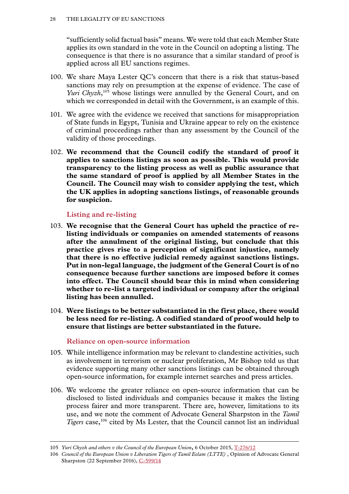<span id="page-29-0"></span>"sufficiently solid factual basis" means. We were told that each Member State applies its own standard in the vote in the Council on adopting a listing. The consequence is that there is no assurance that a similar standard of proof is applied across all EU sanctions regimes.

- 100. We share Maya Lester QC's concern that there is a risk that status-based sanctions may rely on presumption at the expense of evidence. The case of *Yuri Chyzh*,<sup>105</sup> whose listings were annulled by the General Court, and on which we corresponded in detail with the Government, is an example of this.
- 101. We agree with the evidence we received that sanctions for misappropriation of State funds in Egypt, Tunisia and Ukraine appear to rely on the existence of criminal proceedings rather than any assessment by the Council of the validity of those proceedings.
- 102. **We recommend that the Council codify the standard of proof it applies to sanctions listings as soon as possible. This would provide transparency to the listing process as well as public assurance that the same standard of proof is applied by all Member States in the Council. The Council may wish to consider applying the test, which the UK applies in adopting sanctions listings, of reasonable grounds for suspicion.**

# **Listing and re-listing**

- 103. **We recognise that the General Court has upheld the practice of relisting individuals or companies on amended statements of reasons after the annulment of the original listing, but conclude that this practice gives rise to a perception of significant injustice, namely that there is no effective judicial remedy against sanctions listings. Put in non-legal language, the judgment of the General Court is of no consequence because further sanctions are imposed before it comes into effect. The Council should bear this in mind when considering whether to re-list a targeted individual or company after the original listing has been annulled.**
- 104. **Were listings to be better substantiated in the first place, there would be less need for re-listing. A codified standard of proof would help to ensure that listings are better substantiated in the future.**

#### **Reliance on open-source information**

- 105. While intelligence information may be relevant to clandestine activities, such as involvement in terrorism or nuclear proliferation, Mr Bishop told us that evidence supporting many other sanctions listings can be obtained through open-source information, for example internet searches and press articles.
- 106. We welcome the greater reliance on open-source information that can be disclosed to listed individuals and companies because it makes the listing process fairer and more transparent. There are, however, limitations to its use, and we note the comment of Advocate General Sharpston in the *Tamil Tigers* case,<sup>106</sup> cited by Ms Lester, that the Council cannot list an individual

<sup>105</sup> *Yuri Chyzh and others v the Council of the European Union***,** 6 October 2015, [T-276/12](http://curia.europa.eu/juris/document/document.jsf;jsessionid=9ea7d0f130d691ccf2d1119341bfa39db89061c2c552.e34KaxiLc3eQc40LaxqMbN4PaheTe0?text=&docid=169165&pageIndex=0&doclang=EN&mode=req&dir=&occ=first&part=1&cid=514718)

<sup>106</sup> *Council of the European Union v Liberation Tigers of Tamil Eelam (LTTE) ,* Opinion of Advocate General Sharpston (22 September 2016), [C-599/14](http://eur-lex.europa.eu/legal-content/EN/TXT/HTML/?uri=CELEX:62014CC0599&from=EN)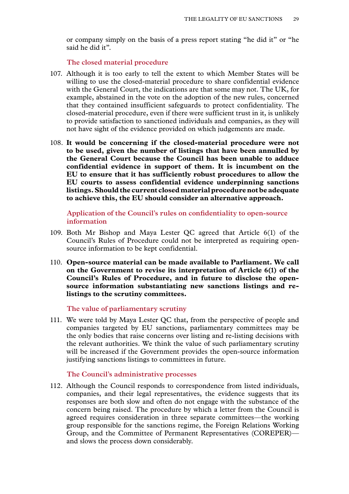<span id="page-30-0"></span>or company simply on the basis of a press report stating "he did it" or "he said he did it".

**The closed material procedure**

- 107. Although it is too early to tell the extent to which Member States will be willing to use the closed-material procedure to share confidential evidence with the General Court, the indications are that some may not. The UK, for example, abstained in the vote on the adoption of the new rules, concerned that they contained insufficient safeguards to protect confidentiality. The closed-material procedure, even if there were sufficient trust in it, is unlikely to provide satisfaction to sanctioned individuals and companies, as they will not have sight of the evidence provided on which judgements are made.
- 108. **It would be concerning if the closed-material procedure were not to be used, given the number of listings that have been annulled by the General Court because the Council has been unable to adduce confidential evidence in support of them. It is incumbent on the EU to ensure that it has sufficiently robust procedures to allow the EU courts to assess confidential evidence underpinning sanctions listings. Should the current closed material procedure not be adequate to achieve this, the EU should consider an alternative approach.**

**Application of the Council's rules on confidentiality to open-source information**

- 109. Both Mr Bishop and Maya Lester QC agreed that Article 6(1) of the Council's Rules of Procedure could not be interpreted as requiring opensource information to be kept confidential.
- 110. **Open-source material can be made available to Parliament. We call on the Government to revise its interpretation of Article 6(1) of the Council's Rules of Procedure, and in future to disclose the opensource information substantiating new sanctions listings and relistings to the scrutiny committees.**

**The value of parliamentary scrutiny**

111. We were told by Maya Lester QC that, from the perspective of people and companies targeted by EU sanctions, parliamentary committees may be the only bodies that raise concerns over listing and re-listing decisions with the relevant authorities. We think the value of such parliamentary scrutiny will be increased if the Government provides the open-source information justifying sanctions listings to committees in future.

#### **The Council's administrative processes**

112. Although the Council responds to correspondence from listed individuals, companies, and their legal representatives, the evidence suggests that its responses are both slow and often do not engage with the substance of the concern being raised. The procedure by which a letter from the Council is agreed requires consideration in three separate committees—the working group responsible for the sanctions regime, the Foreign Relations Working Group, and the Committee of Permanent Representatives (COREPER) and slows the process down considerably.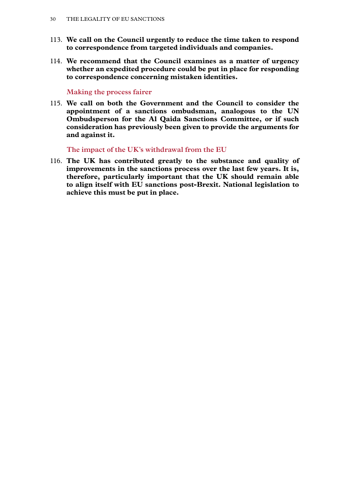- <span id="page-31-0"></span>113. **We call on the Council urgently to reduce the time taken to respond to correspondence from targeted individuals and companies.**
- 114. **We recommend that the Council examines as a matter of urgency whether an expedited procedure could be put in place for responding to correspondence concerning mistaken identities.**

#### **Making the process fairer**

115. **We call on both the Government and the Council to consider the appointment of a sanctions ombudsman, analogous to the UN Ombudsperson for the Al Qaida Sanctions Committee, or if such consideration has previously been given to provide the arguments for and against it.**

**The impact of the UK's withdrawal from the EU**

116. **The UK has contributed greatly to the substance and quality of improvements in the sanctions process over the last few years. It is, therefore, particularly important that the UK should remain able to align itself with EU sanctions post-Brexit. National legislation to achieve this must be put in place.**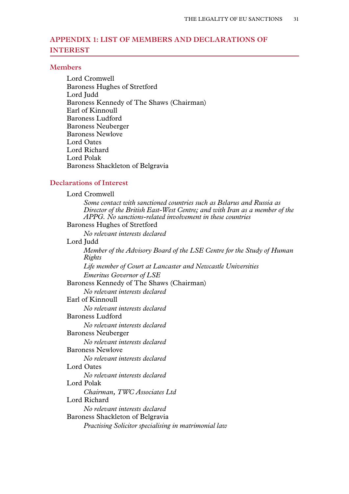# <span id="page-32-0"></span>**Appendix 1: LIST OF MEMBERS AND DECLARATIONS OF INTEREST**

#### **Members**

Lord Cromwell Baroness Hughes of Stretford Lord Judd Baroness Kennedy of The Shaws (Chairman) Earl of Kinnoull Baroness Ludford Baroness Neuberger Baroness Newlove Lord Oates Lord Richard Lord Polak Baroness Shackleton of Belgravia

#### **Declarations of Interest**

Lord Cromwell *Some contact with sanctioned countries such as Belarus and Russia as Director of the British East-West Centre; and with Iran as a member of the APPG. No sanctions-related involvement in these countries* Baroness Hughes of Stretford *No relevant interests declared* Lord Judd *Member of the Advisory Board of the LSE Centre for the Study of Human Rights Life member of Court at Lancaster and Newcastle Universities Emeritus Governor of LSE* Baroness Kennedy of The Shaws (Chairman) *No relevant interests declared* Earl of Kinnoull *No relevant interests declared* Baroness Ludford *No relevant interests declared* Baroness Neuberger *No relevant interests declared* Baroness Newlove *No relevant interests declared* Lord Oates *No relevant interests declared* Lord Polak *Chairman, TWC Associates Ltd* Lord Richard *No relevant interests declared* Baroness Shackleton of Belgravia *Practising Solicitor specialising in matrimonial law*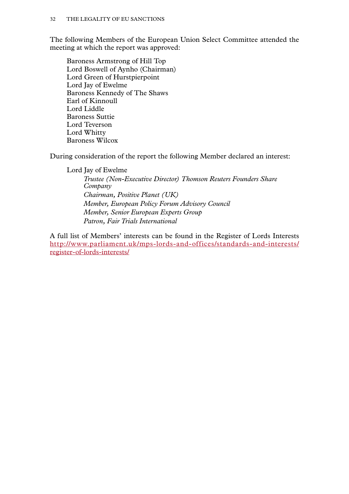The following Members of the European Union Select Committee attended the meeting at which the report was approved:

Baroness Armstrong of Hill Top Lord Boswell of Aynho (Chairman) Lord Green of Hurstpierpoint Lord Jay of Ewelme Baroness Kennedy of The Shaws Earl of Kinnoull Lord Liddle Baroness Suttie Lord Teverson Lord Whitty Baroness Wilcox

During consideration of the report the following Member declared an interest:

Lord Jay of Ewelme

*Trustee (Non-Executive Director) Thomson Reuters Founders Share Company Chairman, Positive Planet (UK) Member, European Policy Forum Advisory Council Member, Senior European Experts Group Patron, Fair Trials International*

A full list of Members' interests can be found in the Register of Lords Interests [http://www.parliament.uk/mps-lords-and-offices/standards-and-interests/](http://www.parliament.uk/mps-lords-and-offices/standards-and-interests/register-of-lords-interests/) [register-of-lords-interests/](http://www.parliament.uk/mps-lords-and-offices/standards-and-interests/register-of-lords-interests/)